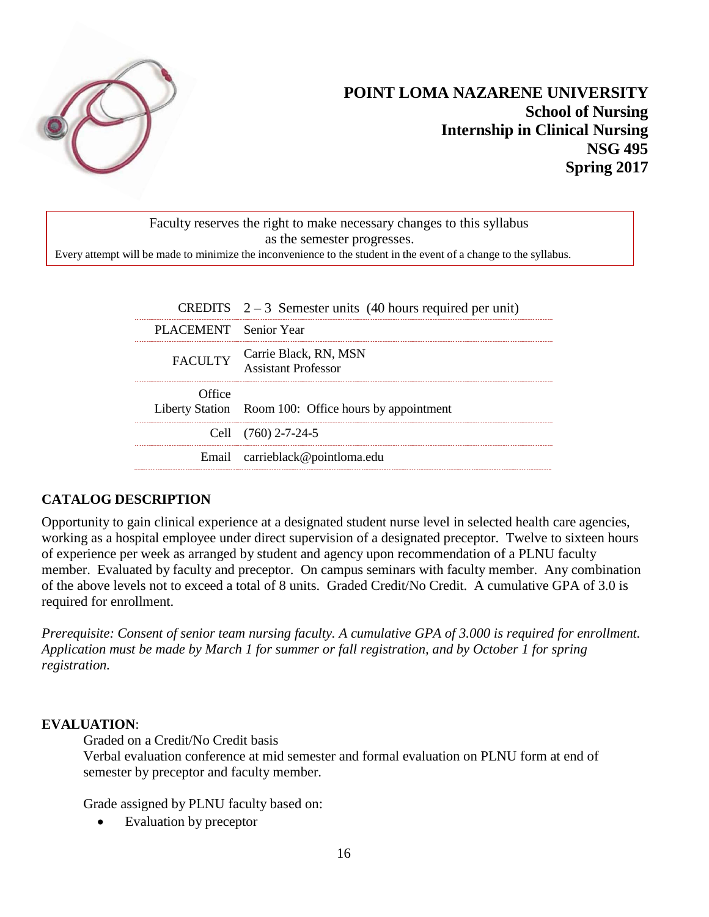

# **POINT LOMA NAZARENE UNIVERSITY School of Nursing Internship in Clinical Nursing NSG 495 Spring 2017**

Faculty reserves the right to make necessary changes to this syllabus as the semester progresses. Every attempt will be made to minimize the inconvenience to the student in the event of a change to the syllabus.

|                       | CREDITS $2-3$ Semester units (40 hours required per unit) |
|-----------------------|-----------------------------------------------------------|
| PLACEMENT Senior Year |                                                           |
|                       | FACULTY Carrie Black, RN, MSN<br>Assistant Professor      |
| Office                | Liberty Station Room 100: Office hours by appointment     |
|                       | Cell $(760)$ 2-7-24-5                                     |
|                       | Email carrieblack@pointloma.edu                           |

## **CATALOG DESCRIPTION**

Opportunity to gain clinical experience at a designated student nurse level in selected health care agencies, working as a hospital employee under direct supervision of a designated preceptor. Twelve to sixteen hours of experience per week as arranged by student and agency upon recommendation of a PLNU faculty member. Evaluated by faculty and preceptor. On campus seminars with faculty member. Any combination of the above levels not to exceed a total of 8 units. Graded Credit/No Credit. A cumulative GPA of 3.0 is required for enrollment.

*Prerequisite: Consent of senior team nursing faculty. A cumulative GPA of 3.000 is required for enrollment. Application must be made by March 1 for summer or fall registration, and by October 1 for spring registration.*

## **EVALUATION**:

Graded on a Credit/No Credit basis

Verbal evaluation conference at mid semester and formal evaluation on PLNU form at end of semester by preceptor and faculty member.

Grade assigned by PLNU faculty based on:

Evaluation by preceptor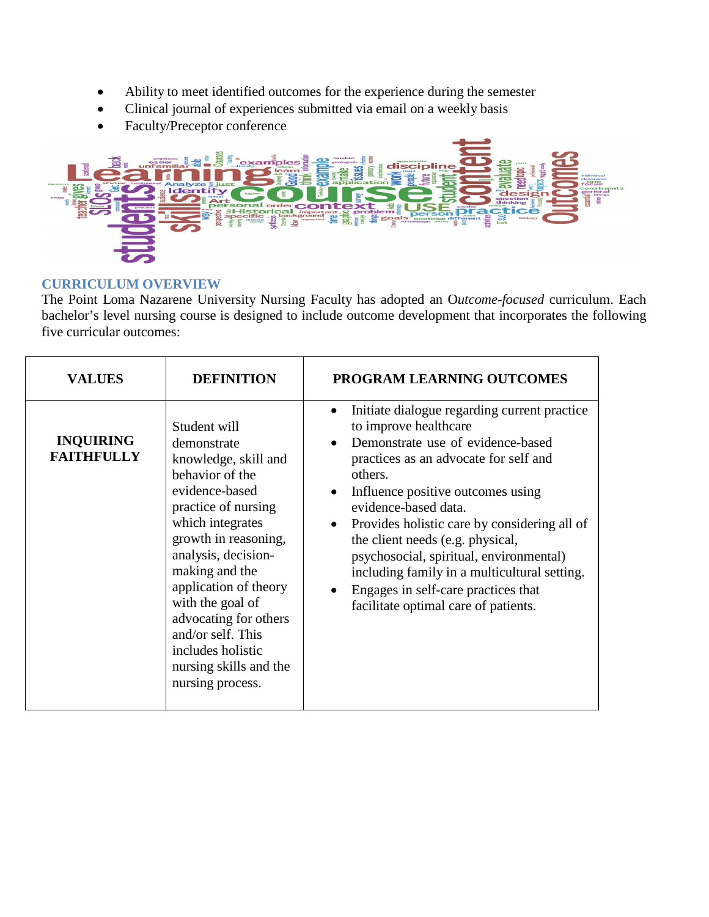- Ability to meet identified outcomes for the experience during the semester
- Clinical journal of experiences submitted via email on a weekly basis
- Faculty/Preceptor conference



## **CURRICULUM OVERVIEW**

The Point Loma Nazarene University Nursing Faculty has adopted an O*utcome-focused* curriculum. Each bachelor's level nursing course is designed to include outcome development that incorporates the following five curricular outcomes:

| <b>VALUES</b>                         | <b>DEFINITION</b>                                                                                                                                                                                                                                                                                                                                                  | PROGRAM LEARNING OUTCOMES                                                                                                                                                                                                                                                                                                                                                                                                                                                                              |
|---------------------------------------|--------------------------------------------------------------------------------------------------------------------------------------------------------------------------------------------------------------------------------------------------------------------------------------------------------------------------------------------------------------------|--------------------------------------------------------------------------------------------------------------------------------------------------------------------------------------------------------------------------------------------------------------------------------------------------------------------------------------------------------------------------------------------------------------------------------------------------------------------------------------------------------|
| <b>INQUIRING</b><br><b>FAITHFULLY</b> | Student will<br>demonstrate<br>knowledge, skill and<br>behavior of the<br>evidence-based<br>practice of nursing<br>which integrates<br>growth in reasoning,<br>analysis, decision-<br>making and the<br>application of theory<br>with the goal of<br>advocating for others<br>and/or self. This<br>includes holistic<br>nursing skills and the<br>nursing process. | Initiate dialogue regarding current practice<br>$\bullet$<br>to improve healthcare<br>Demonstrate use of evidence-based<br>practices as an advocate for self and<br>others.<br>Influence positive outcomes using<br>evidence-based data.<br>Provides holistic care by considering all of<br>the client needs (e.g. physical,<br>psychosocial, spiritual, environmental)<br>including family in a multicultural setting.<br>Engages in self-care practices that<br>facilitate optimal care of patients. |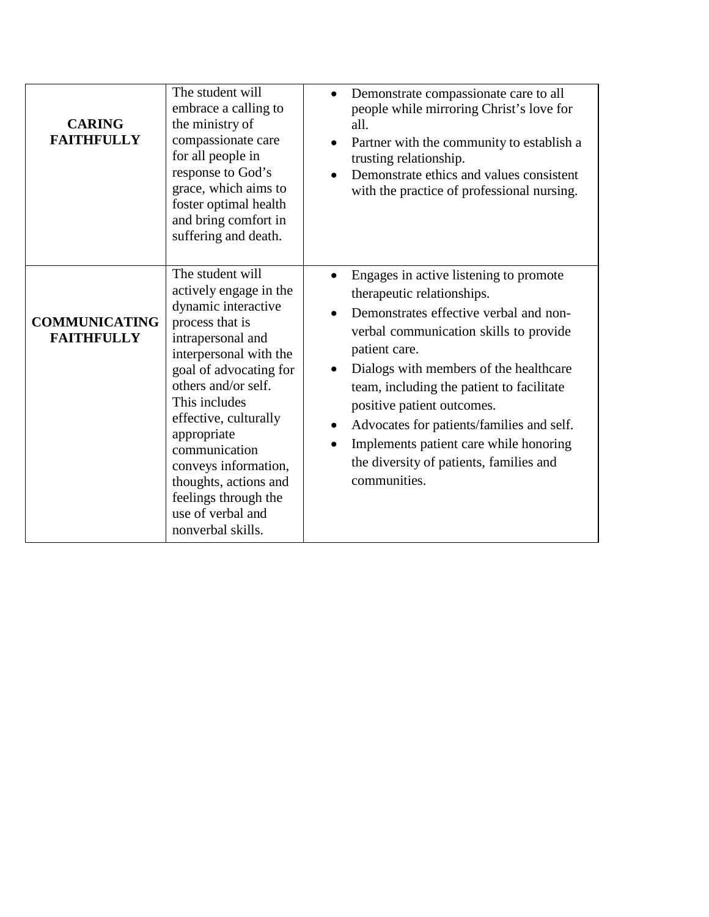| <b>CARING</b><br><b>FAITHFULLY</b>        | The student will<br>embrace a calling to<br>the ministry of<br>compassionate care<br>for all people in<br>response to God's<br>grace, which aims to<br>foster optimal health<br>and bring comfort in<br>suffering and death.                                                                                                                                                      | Demonstrate compassionate care to all<br>people while mirroring Christ's love for<br>all.<br>Partner with the community to establish a<br>trusting relationship.<br>Demonstrate ethics and values consistent<br>with the practice of professional nursing.                                                                                                                                                                                       |
|-------------------------------------------|-----------------------------------------------------------------------------------------------------------------------------------------------------------------------------------------------------------------------------------------------------------------------------------------------------------------------------------------------------------------------------------|--------------------------------------------------------------------------------------------------------------------------------------------------------------------------------------------------------------------------------------------------------------------------------------------------------------------------------------------------------------------------------------------------------------------------------------------------|
| <b>COMMUNICATING</b><br><b>FAITHFULLY</b> | The student will<br>actively engage in the<br>dynamic interactive<br>process that is<br>intrapersonal and<br>interpersonal with the<br>goal of advocating for<br>others and/or self.<br>This includes<br>effective, culturally<br>appropriate<br>communication<br>conveys information,<br>thoughts, actions and<br>feelings through the<br>use of verbal and<br>nonverbal skills. | Engages in active listening to promote<br>therapeutic relationships.<br>Demonstrates effective verbal and non-<br>verbal communication skills to provide<br>patient care.<br>Dialogs with members of the healthcare<br>team, including the patient to facilitate<br>positive patient outcomes.<br>Advocates for patients/families and self.<br>Implements patient care while honoring<br>the diversity of patients, families and<br>communities. |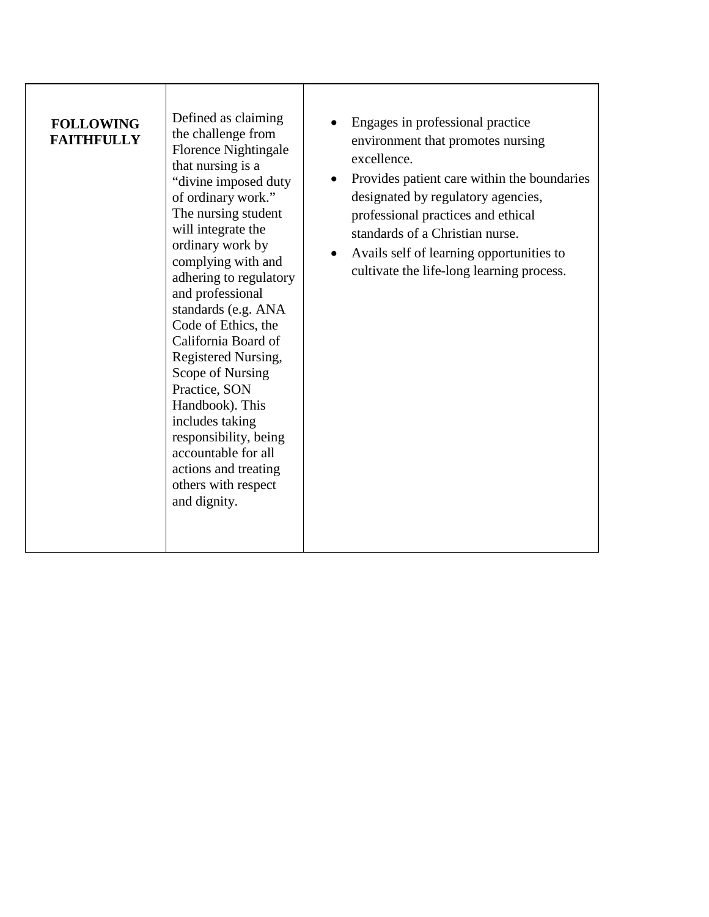| <b>FOLLOWING</b>  |
|-------------------|
| <b>FAITHFULLY</b> |

Defined as claiming the challenge from Florence Nightingale that nursing is a "divine imposed duty of ordinary work." The nursing student will integrate the ordinary work by complying with and adhering to regulatory and professional standards (e.g. ANA Code of Ethics, the California Board of Registered Nursing, Scope of Nursing Practice, SON Handbook). This includes taking responsibility, being accountable for all actions and treating others with respect and dignity.

- Engages in professional practice environment that promotes nursing excellence.
- Provides patient care within the boundaries designated by regulatory agencies, professional practices and ethical standards of a Christian nurse.
- Avails self of learning opportunities to cultivate the life-long learning process.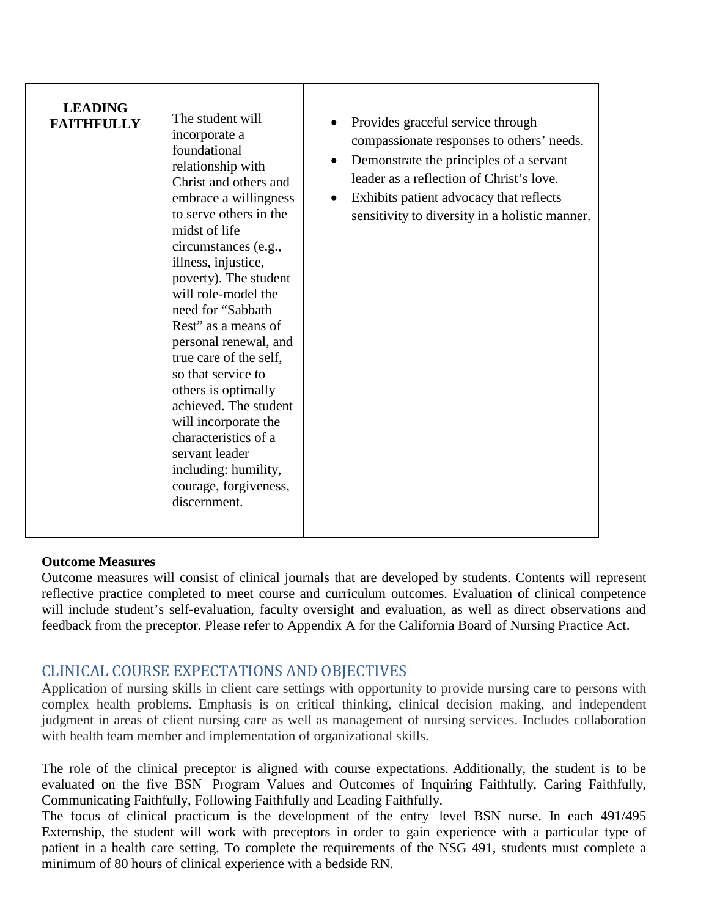| <b>LEADING</b><br><b>FAITHFULLY</b> | The student will<br>incorporate a<br>foundational<br>relationship with<br>Christ and others and<br>embrace a willingness<br>to serve others in the<br>midst of life<br>circumstances (e.g.,<br>illness, injustice,<br>poverty). The student<br>will role-model the<br>need for "Sabbath"<br>Rest" as a means of<br>personal renewal, and<br>true care of the self,<br>so that service to<br>others is optimally<br>achieved. The student<br>will incorporate the<br>characteristics of a<br>servant leader<br>including: humility,<br>courage, forgiveness,<br>discernment. | Provides graceful service through<br>compassionate responses to others' needs.<br>Demonstrate the principles of a servant<br>$\bullet$<br>leader as a reflection of Christ's love.<br>Exhibits patient advocacy that reflects<br>$\bullet$<br>sensitivity to diversity in a holistic manner. |
|-------------------------------------|-----------------------------------------------------------------------------------------------------------------------------------------------------------------------------------------------------------------------------------------------------------------------------------------------------------------------------------------------------------------------------------------------------------------------------------------------------------------------------------------------------------------------------------------------------------------------------|----------------------------------------------------------------------------------------------------------------------------------------------------------------------------------------------------------------------------------------------------------------------------------------------|
|-------------------------------------|-----------------------------------------------------------------------------------------------------------------------------------------------------------------------------------------------------------------------------------------------------------------------------------------------------------------------------------------------------------------------------------------------------------------------------------------------------------------------------------------------------------------------------------------------------------------------------|----------------------------------------------------------------------------------------------------------------------------------------------------------------------------------------------------------------------------------------------------------------------------------------------|

#### **Outcome Measures**

Outcome measures will consist of clinical journals that are developed by students. Contents will represent reflective practice completed to meet course and curriculum outcomes. Evaluation of clinical competence will include student's self-evaluation, faculty oversight and evaluation, as well as direct observations and feedback from the preceptor. Please refer to Appendix A for the California Board of Nursing Practice Act.

# CLINICAL COURSE EXPECTATIONS AND OBJECTIVES

Application of nursing skills in client care settings with opportunity to provide nursing care to persons with complex health problems. Emphasis is on critical thinking, clinical decision making, and independent judgment in areas of client nursing care as well as management of nursing services. Includes collaboration with health team member and implementation of organizational skills.

The role of the clinical preceptor is aligned with course expectations. Additionally, the student is to be evaluated on the five BSN Program Values and Outcomes of Inquiring Faithfully, Caring Faithfully, Communicating Faithfully, Following Faithfully and Leading Faithfully.

The focus of clinical practicum is the development of the entry level BSN nurse. In each 491/495 Externship, the student will work with preceptors in order to gain experience with a particular type of patient in a health care setting. To complete the requirements of the NSG 491, students must complete a minimum of 80 hours of clinical experience with a bedside RN.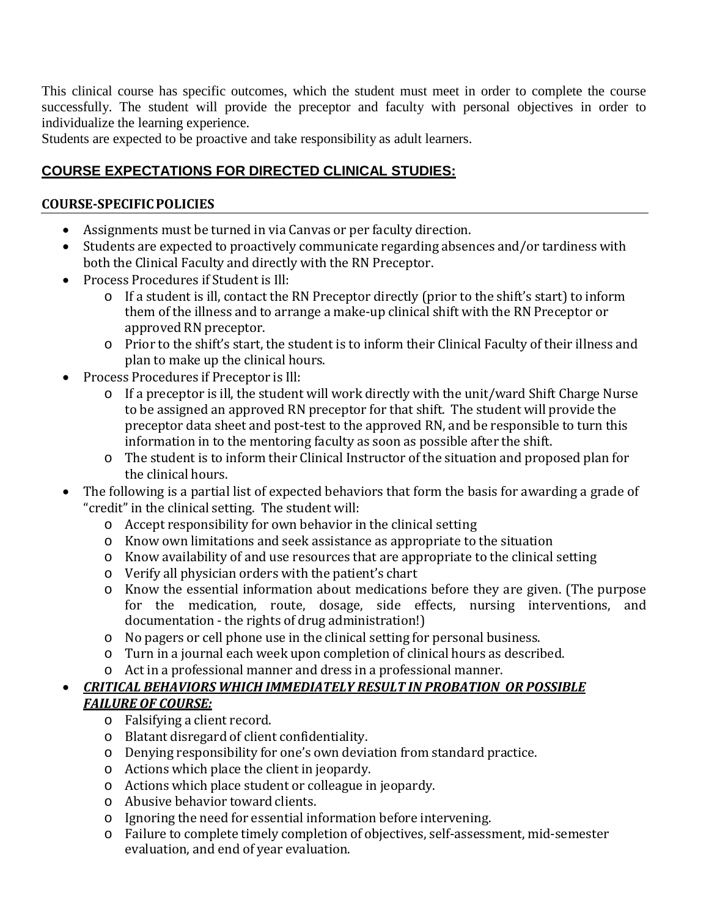This clinical course has specific outcomes, which the student must meet in order to complete the course successfully. The student will provide the preceptor and faculty with personal objectives in order to individualize the learning experience.

Students are expected to be proactive and take responsibility as adult learners.

# **COURSE EXPECTATIONS FOR DIRECTED CLINICAL STUDIES:**

# **COURSE-SPECIFICPOLICIES**

- Assignments must be turned in via Canvas or per faculty direction.
- Students are expected to proactively communicate regarding absences and/or tardiness with both the Clinical Faculty and directly with the RN Preceptor.
- Process Procedures if Student is Ill:
	- o If a student is ill, contact the RN Preceptor directly (prior to the shift's start) to inform them of the illness and to arrange a make-up clinical shift with the RN Preceptor or approved RN preceptor.
	- o Prior to the shift's start, the student is to inform their Clinical Faculty of their illness and plan to make up the clinical hours.
- Process Procedures if Preceptor is Ill:
	- o If a preceptor is ill, the student will work directly with the unit/ward Shift Charge Nurse to be assigned an approved RN preceptor for that shift. The student will provide the preceptor data sheet and post-test to the approved RN, and be responsible to turn this information in to the mentoring faculty as soon as possible after the shift.
	- o The student is to inform their Clinical Instructor of the situation and proposed plan for the clinical hours.
- The following is a partial list of expected behaviors that form the basis for awarding a grade of "credit" in the clinical setting. The student will:
	- o Accept responsibility for own behavior in the clinical setting
	- o Know own limitations and seek assistance as appropriate to the situation
	- o Know availability of and use resources that are appropriate to the clinical setting
	- o Verify all physician orders with the patient's chart
	- o Know the essential information about medications before they are given. (The purpose for the medication, route, dosage, side effects, nursing interventions, and documentation - the rights of drug administration!)
	- o No pagers or cell phone use in the clinical setting for personal business.
	- o Turn in a journal each week upon completion of clinical hours as described.
	- o Act in a professional manner and dress in a professional manner.

# • *CRITICAL BEHAVIORS WHICH IMMEDIATELY RESULT IN PROBATION OR POSSIBLE FAILURE OF COURSE:*

- o Falsifying a client record.
- o Blatant disregard of client confidentiality.
- o Denying responsibility for one's own deviation from standard practice.
- o Actions which place the client in jeopardy.
- o Actions which place student or colleague in jeopardy.
- o Abusive behavior toward clients.
- o Ignoring the need for essential information before intervening.
- o Failure to complete timely completion of objectives, self-assessment, mid-semester evaluation, and end of year evaluation.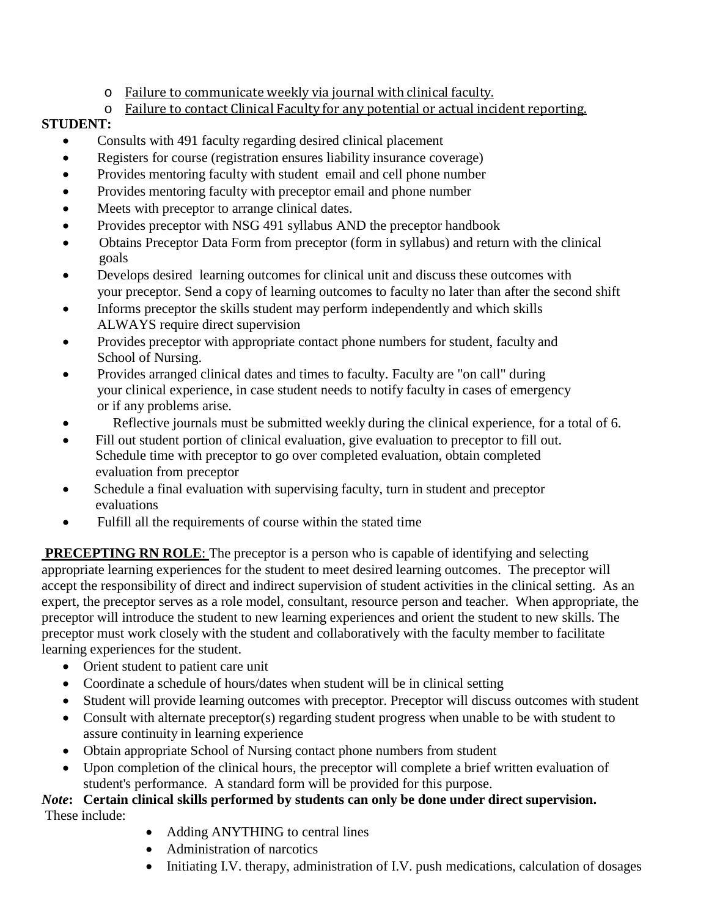- o Failure to communicate weekly via journal with clinical faculty.
- o Failure to contact Clinical Faculty for any potential or actual incident reporting.

# **STUDENT:**

- Consults with 491 faculty regarding desired clinical placement
- Registers for course (registration ensures liability insurance coverage)
- Provides mentoring faculty with student email and cell phone number
- Provides mentoring faculty with preceptor email and phone number
- Meets with preceptor to arrange clinical dates.
- Provides preceptor with NSG 491 syllabus AND the preceptor handbook
- Obtains Preceptor Data Form from preceptor (form in syllabus) and return with the clinical goals
- Develops desired learning outcomes for clinical unit and discuss these outcomes with your preceptor. Send a copy of learning outcomes to faculty no later than after the second shift
- Informs preceptor the skills student may perform independently and which skills ALWAYS require direct supervision
- Provides preceptor with appropriate contact phone numbers for student, faculty and School of Nursing.
- Provides arranged clinical dates and times to faculty. Faculty are "on call" during your clinical experience, in case student needs to notify faculty in cases of emergency or if any problems arise.
- Reflective journals must be submitted weekly during the clinical experience, for a total of 6.
- Fill out student portion of clinical evaluation, give evaluation to preceptor to fill out. Schedule time with preceptor to go over completed evaluation, obtain completed evaluation from preceptor
- Schedule a final evaluation with supervising faculty, turn in student and preceptor evaluations
- Fulfill all the requirements of course within the stated time

**PRECEPTING RN ROLE:** The preceptor is a person who is capable of identifying and selecting appropriate learning experiences for the student to meet desired learning outcomes. The preceptor will accept the responsibility of direct and indirect supervision of student activities in the clinical setting. As an expert, the preceptor serves as a role model, consultant, resource person and teacher. When appropriate, the preceptor will introduce the student to new learning experiences and orient the student to new skills. The preceptor must work closely with the student and collaboratively with the faculty member to facilitate learning experiences for the student.

- Orient student to patient care unit
- Coordinate a schedule of hours/dates when student will be in clinical setting
- Student will provide learning outcomes with preceptor. Preceptor will discuss outcomes with student
- Consult with alternate preceptor(s) regarding student progress when unable to be with student to assure continuity in learning experience
- Obtain appropriate School of Nursing contact phone numbers from student
- Upon completion of the clinical hours, the preceptor will complete a brief written evaluation of student's performance. A standard form will be provided for this purpose.

# *Note***: Certain clinical skills performed by students can only be done under direct supervision.** These include:

- Adding ANYTHING to central lines
- Administration of narcotics
- Initiating I.V. therapy, administration of I.V. push medications, calculation of dosages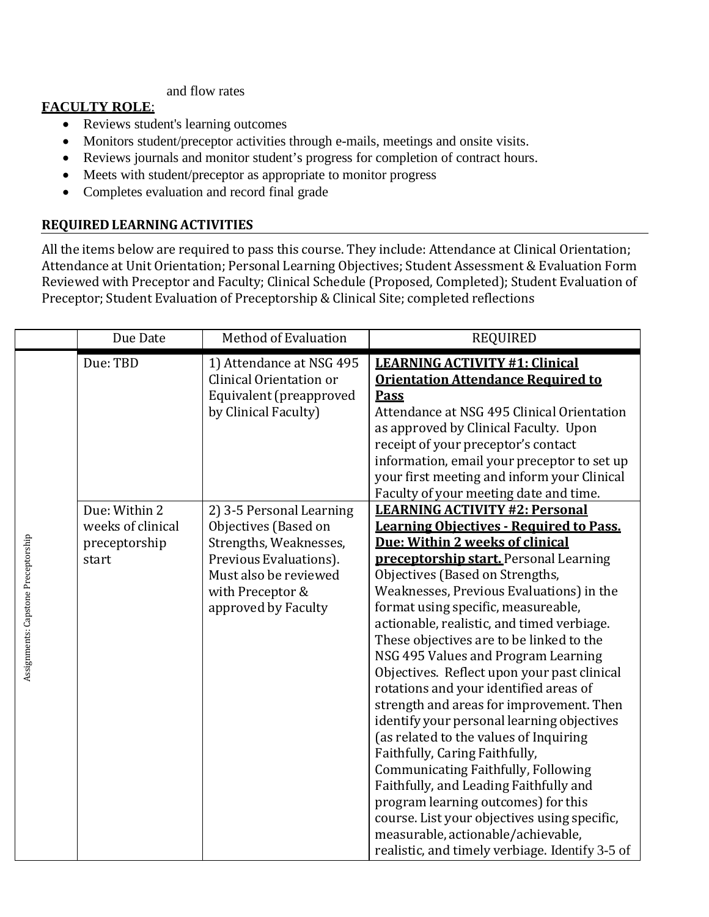and flow rates

# **FACULTY ROLE**:

- Reviews student's learning outcomes
- Monitors student/preceptor activities through e-mails, meetings and onsite visits.
- Reviews journals and monitor student's progress for completion of contract hours.
- Meets with student/preceptor as appropriate to monitor progress
- Completes evaluation and record final grade

# **REQUIRED LEARNING ACTIVITIES**

All the items below are required to pass this course. They include: Attendance at Clinical Orientation; Attendance at Unit Orientation; Personal Learning Objectives; Student Assessment & Evaluation Form Reviewed with Preceptor and Faculty; Clinical Schedule (Proposed, Completed); Student Evaluation of Preceptor; Student Evaluation of Preceptorship & Clinical Site; completed reflections

|                                     | Due Date                                                     | Method of Evaluation                                                                                                                                                     | <b>REQUIRED</b>                                                                                                                                                                                                                                                                                                                                                                                                                                                                                                                                                                                                                                                                                                                                                                                                                                                                                                                                                    |
|-------------------------------------|--------------------------------------------------------------|--------------------------------------------------------------------------------------------------------------------------------------------------------------------------|--------------------------------------------------------------------------------------------------------------------------------------------------------------------------------------------------------------------------------------------------------------------------------------------------------------------------------------------------------------------------------------------------------------------------------------------------------------------------------------------------------------------------------------------------------------------------------------------------------------------------------------------------------------------------------------------------------------------------------------------------------------------------------------------------------------------------------------------------------------------------------------------------------------------------------------------------------------------|
|                                     | Due: TBD                                                     | 1) Attendance at NSG 495<br>Clinical Orientation or<br>Equivalent (preapproved<br>by Clinical Faculty)                                                                   | <b>LEARNING ACTIVITY #1: Clinical</b><br><b>Orientation Attendance Required to</b><br><b>Pass</b><br>Attendance at NSG 495 Clinical Orientation<br>as approved by Clinical Faculty. Upon<br>receipt of your preceptor's contact<br>information, email your preceptor to set up<br>your first meeting and inform your Clinical<br>Faculty of your meeting date and time.                                                                                                                                                                                                                                                                                                                                                                                                                                                                                                                                                                                            |
| Assignments: Capstone Preceptorship | Due: Within 2<br>weeks of clinical<br>preceptorship<br>start | 2) 3-5 Personal Learning<br>Objectives (Based on<br>Strengths, Weaknesses,<br>Previous Evaluations).<br>Must also be reviewed<br>with Preceptor &<br>approved by Faculty | <b>LEARNING ACTIVITY #2: Personal</b><br><b>Learning Objectives - Required to Pass.</b><br>Due: Within 2 weeks of clinical<br><b>preceptorship start.</b> Personal Learning<br>Objectives (Based on Strengths,<br>Weaknesses, Previous Evaluations) in the<br>format using specific, measureable,<br>actionable, realistic, and timed verbiage.<br>These objectives are to be linked to the<br>NSG 495 Values and Program Learning<br>Objectives. Reflect upon your past clinical<br>rotations and your identified areas of<br>strength and areas for improvement. Then<br>identify your personal learning objectives<br>(as related to the values of Inquiring<br>Faithfully, Caring Faithfully,<br>Communicating Faithfully, Following<br>Faithfully, and Leading Faithfully and<br>program learning outcomes) for this<br>course. List your objectives using specific,<br>measurable, actionable/achievable,<br>realistic, and timely verbiage. Identify 3-5 of |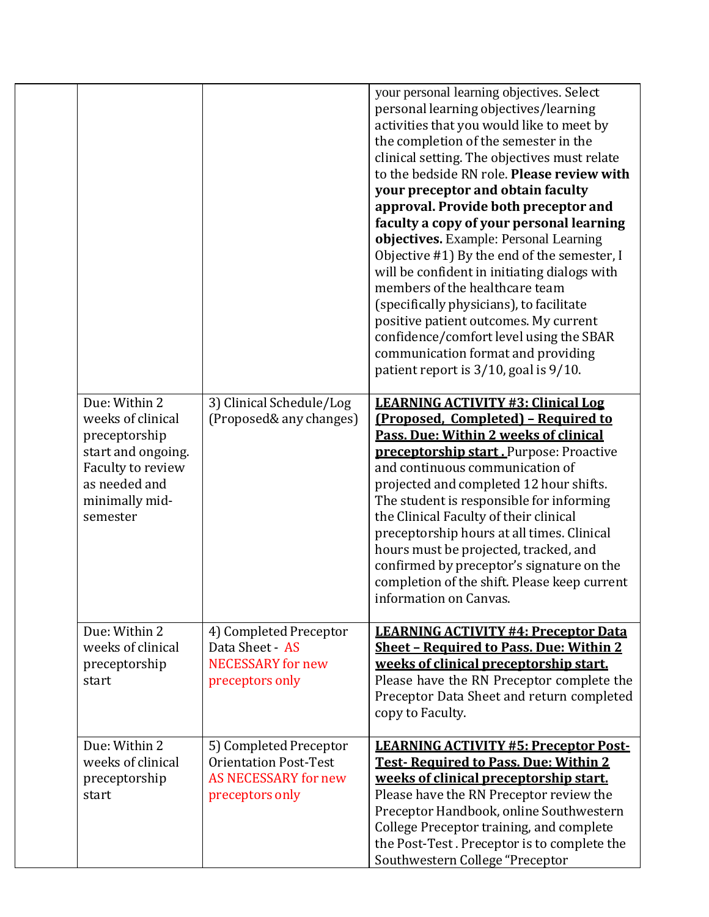|                                                                                                                                               |                                                                                                          | your personal learning objectives. Select<br>personal learning objectives/learning<br>activities that you would like to meet by<br>the completion of the semester in the<br>clinical setting. The objectives must relate<br>to the bedside RN role. Please review with<br>your preceptor and obtain faculty<br>approval. Provide both preceptor and<br>faculty a copy of your personal learning<br>objectives. Example: Personal Learning<br>Objective #1) By the end of the semester, I<br>will be confident in initiating dialogs with<br>members of the healthcare team<br>(specifically physicians), to facilitate<br>positive patient outcomes. My current<br>confidence/comfort level using the SBAR<br>communication format and providing<br>patient report is 3/10, goal is 9/10. |
|-----------------------------------------------------------------------------------------------------------------------------------------------|----------------------------------------------------------------------------------------------------------|-------------------------------------------------------------------------------------------------------------------------------------------------------------------------------------------------------------------------------------------------------------------------------------------------------------------------------------------------------------------------------------------------------------------------------------------------------------------------------------------------------------------------------------------------------------------------------------------------------------------------------------------------------------------------------------------------------------------------------------------------------------------------------------------|
| Due: Within 2<br>weeks of clinical<br>preceptorship<br>start and ongoing.<br>Faculty to review<br>as needed and<br>minimally mid-<br>semester | 3) Clinical Schedule/Log<br>(Proposed& any changes)                                                      | <b>LEARNING ACTIVITY #3: Clinical Log</b><br>(Proposed, Completed) - Required to<br>Pass. Due: Within 2 weeks of clinical<br>preceptorship start. Purpose: Proactive<br>and continuous communication of<br>projected and completed 12 hour shifts.<br>The student is responsible for informing<br>the Clinical Faculty of their clinical<br>preceptorship hours at all times. Clinical<br>hours must be projected, tracked, and<br>confirmed by preceptor's signature on the<br>completion of the shift. Please keep current<br>information on Canvas.                                                                                                                                                                                                                                    |
| Due: Within 2<br>weeks of clinical<br>preceptorship<br>start                                                                                  | 4) Completed Preceptor<br>Data Sheet - AS<br><b>NECESSARY</b> for new<br>preceptors only                 | <b>LEARNING ACTIVITY #4: Preceptor Data</b><br><b>Sheet - Required to Pass. Due: Within 2</b><br>weeks of clinical preceptorship start.<br>Please have the RN Preceptor complete the<br>Preceptor Data Sheet and return completed<br>copy to Faculty.                                                                                                                                                                                                                                                                                                                                                                                                                                                                                                                                     |
| Due: Within 2<br>weeks of clinical<br>preceptorship<br>start                                                                                  | 5) Completed Preceptor<br><b>Orientation Post-Test</b><br><b>AS NECESSARY for new</b><br>preceptors only | <b>LEARNING ACTIVITY #5: Preceptor Post-</b><br><b>Test-Required to Pass. Due: Within 2</b><br>weeks of clinical preceptorship start.<br>Please have the RN Preceptor review the<br>Preceptor Handbook, online Southwestern<br>College Preceptor training, and complete<br>the Post-Test. Preceptor is to complete the<br>Southwestern College "Preceptor                                                                                                                                                                                                                                                                                                                                                                                                                                 |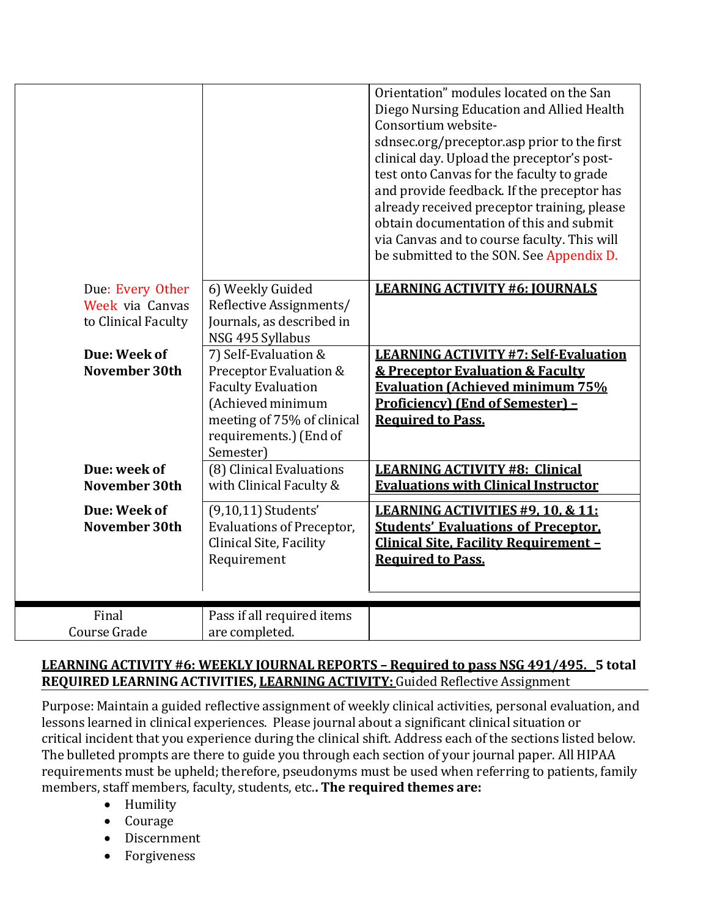|                     |                            | Orientation" modules located on the San         |
|---------------------|----------------------------|-------------------------------------------------|
|                     |                            | Diego Nursing Education and Allied Health       |
|                     |                            | Consortium website-                             |
|                     |                            | sdnsec.org/preceptor.asp prior to the first     |
|                     |                            | clinical day. Upload the preceptor's post-      |
|                     |                            | test onto Canvas for the faculty to grade       |
|                     |                            | and provide feedback. If the preceptor has      |
|                     |                            | already received preceptor training, please     |
|                     |                            | obtain documentation of this and submit         |
|                     |                            | via Canvas and to course faculty. This will     |
|                     |                            | be submitted to the SON. See Appendix D.        |
|                     |                            |                                                 |
| Due: Every Other    | 6) Weekly Guided           | <b>LEARNING ACTIVITY #6: IOURNALS</b>           |
| Week via Canvas     | Reflective Assignments/    |                                                 |
| to Clinical Faculty | Journals, as described in  |                                                 |
|                     | NSG 495 Syllabus           |                                                 |
| Due: Week of        | 7) Self-Evaluation &       | <b>LEARNING ACTIVITY #7: Self-Evaluation</b>    |
| November 30th       | Preceptor Evaluation &     | <b>&amp; Preceptor Evaluation &amp; Faculty</b> |
|                     | <b>Faculty Evaluation</b>  | <b>Evaluation (Achieved minimum 75%</b>         |
|                     | (Achieved minimum          | <b>Proficiency) (End of Semester) -</b>         |
|                     | meeting of 75% of clinical | <b>Required to Pass.</b>                        |
|                     | requirements.) (End of     |                                                 |
|                     | Semester)                  |                                                 |
| Due: week of        | (8) Clinical Evaluations   | <b>LEARNING ACTIVITY #8: Clinical</b>           |
| November 30th       | with Clinical Faculty &    | <b>Evaluations with Clinical Instructor</b>     |
|                     |                            |                                                 |
| Due: Week of        | (9,10,11) Students'        | LEARNING ACTIVITIES #9.10. & 11:                |
| November 30th       | Evaluations of Preceptor,  | <b>Students' Evaluations of Preceptor.</b>      |
|                     | Clinical Site, Facility    | <b>Clinical Site, Facility Requirement -</b>    |
|                     | Requirement                | <b>Required to Pass.</b>                        |
|                     |                            |                                                 |
|                     |                            |                                                 |
| Final               | Pass if all required items |                                                 |
| Course Grade        | are completed.             |                                                 |

# **LEARNING ACTIVITY #6: WEEKLY JOURNAL REPORTS – Required to pass NSG 491/495. 5 total REQUIRED LEARNING ACTIVITIES, LEARNING ACTIVITY:** Guided Reflective Assignment

Purpose: Maintain a guided reflective assignment of weekly clinical activities, personal evaluation, and lessons learned in clinical experiences. Please journal about a significant clinical situation or critical incident that you experience during the clinical shift. Address each of the sections listed below. The bulleted prompts are there to guide you through each section of your journal paper. All HIPAA requirements must be upheld; therefore, pseudonyms must be used when referring to patients, family members, staff members, faculty, students, etc.**. The required themes are:**

- Humility
- Courage
- Discernment
- Forgiveness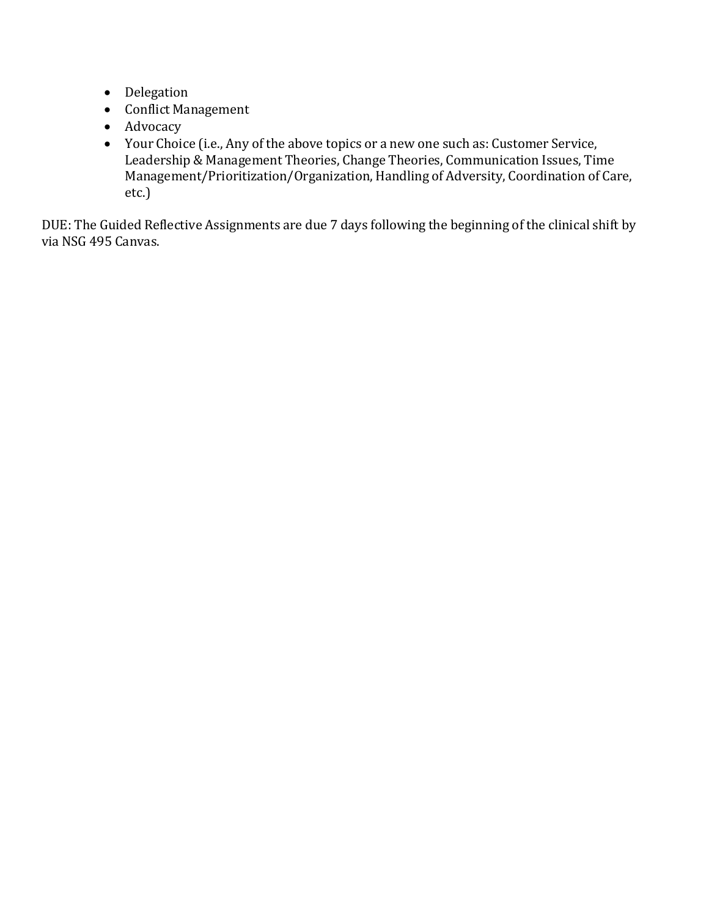- Delegation
- Conflict Management
- Advocacy
- Your Choice (i.e., Any of the above topics or a new one such as: Customer Service, Leadership & Management Theories, Change Theories, Communication Issues, Time Management/Prioritization/Organization, Handling of Adversity, Coordination of Care, etc.)

DUE: The Guided Reflective Assignments are due 7 days following the beginning of the clinical shift by via NSG 495 Canvas.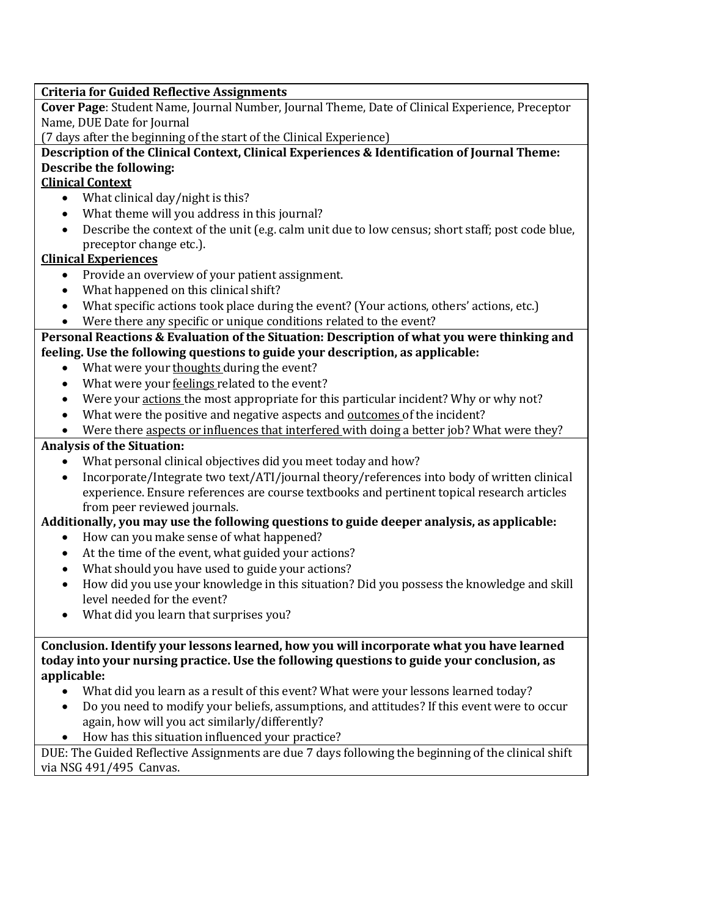| <b>Criteria for Guided Reflective Assignments</b>                                                             |
|---------------------------------------------------------------------------------------------------------------|
| Cover Page: Student Name, Journal Number, Journal Theme, Date of Clinical Experience, Preceptor               |
| Name, DUE Date for Journal                                                                                    |
| (7 days after the beginning of the start of the Clinical Experience)                                          |
| Description of the Clinical Context, Clinical Experiences & Identification of Journal Theme:                  |
| Describe the following:                                                                                       |
| <b>Clinical Context</b>                                                                                       |
| What clinical day/night is this?<br>$\bullet$                                                                 |
| What theme will you address in this journal?<br>$\bullet$                                                     |
| Describe the context of the unit (e.g. calm unit due to low census; short staff; post code blue,<br>$\bullet$ |
| preceptor change etc.).                                                                                       |
| <b>Clinical Experiences</b>                                                                                   |
| Provide an overview of your patient assignment.<br>$\bullet$                                                  |
| What happened on this clinical shift?<br>$\bullet$                                                            |
| What specific actions took place during the event? (Your actions, others' actions, etc.)<br>$\bullet$         |
| Were there any specific or unique conditions related to the event?<br>$\bullet$                               |
| Personal Reactions & Evaluation of the Situation: Description of what you were thinking and                   |
| feeling. Use the following questions to guide your description, as applicable:                                |
| What were your thoughts during the event?<br>$\bullet$                                                        |
| What were your feelings related to the event?<br>$\bullet$                                                    |
| Were your actions the most appropriate for this particular incident? Why or why not?<br>$\bullet$             |
| What were the positive and negative aspects and outcomes of the incident?<br>$\bullet$                        |
|                                                                                                               |
| Were there aspects or influences that interfered with doing a better job? What were they?<br>$\bullet$        |
| <b>Analysis of the Situation:</b>                                                                             |
| What personal clinical objectives did you meet today and how?                                                 |
| Incorporate/Integrate two text/ATI/journal theory/references into body of written clinical<br>$\bullet$       |
| experience. Ensure references are course textbooks and pertinent topical research articles                    |
| from peer reviewed journals.                                                                                  |
| Additionally, you may use the following questions to guide deeper analysis, as applicable:                    |
| How can you make sense of what happened?<br>$\bullet$                                                         |
| At the time of the event, what guided your actions?<br>٠                                                      |
| What should you have used to guide your actions?<br>$\bullet$                                                 |
| How did you use your knowledge in this situation? Did you possess the knowledge and skill<br>$\bullet$        |
| level needed for the event?                                                                                   |
| What did you learn that surprises you?                                                                        |
|                                                                                                               |
| Conclusion. Identify your lessons learned, how you will incorporate what you have learned                     |
| today into your nursing practice. Use the following questions to guide your conclusion, as                    |
| applicable:                                                                                                   |
| What did you learn as a result of this event? What were your lessons learned today?                           |
| Do you need to modify your beliefs, assumptions, and attitudes? If this event were to occur                   |
| again, how will you act similarly/differently?                                                                |

• How has this situation influenced your practice?

DUE: The Guided Reflective Assignments are due 7 days following the beginning of the clinical shift via NSG 491/495 Canvas.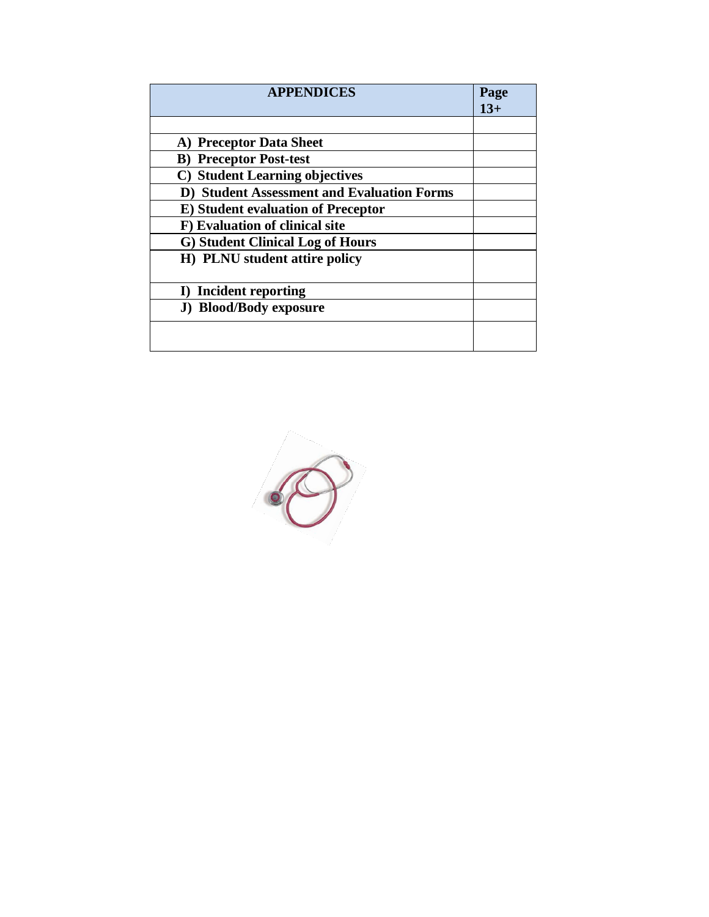| <b>APPENDICES</b>                                 | Page<br>$13+$ |
|---------------------------------------------------|---------------|
|                                                   |               |
| A) Preceptor Data Sheet                           |               |
| <b>B)</b> Preceptor Post-test                     |               |
| C) Student Learning objectives                    |               |
| <b>D)</b> Student Assessment and Evaluation Forms |               |
| <b>E)</b> Student evaluation of Preceptor         |               |
| F) Evaluation of clinical site                    |               |
| G) Student Clinical Log of Hours                  |               |
| H) PLNU student attire policy                     |               |
|                                                   |               |
| I) Incident reporting                             |               |
| <b>J)</b> Blood/Body exposure                     |               |
|                                                   |               |
|                                                   |               |

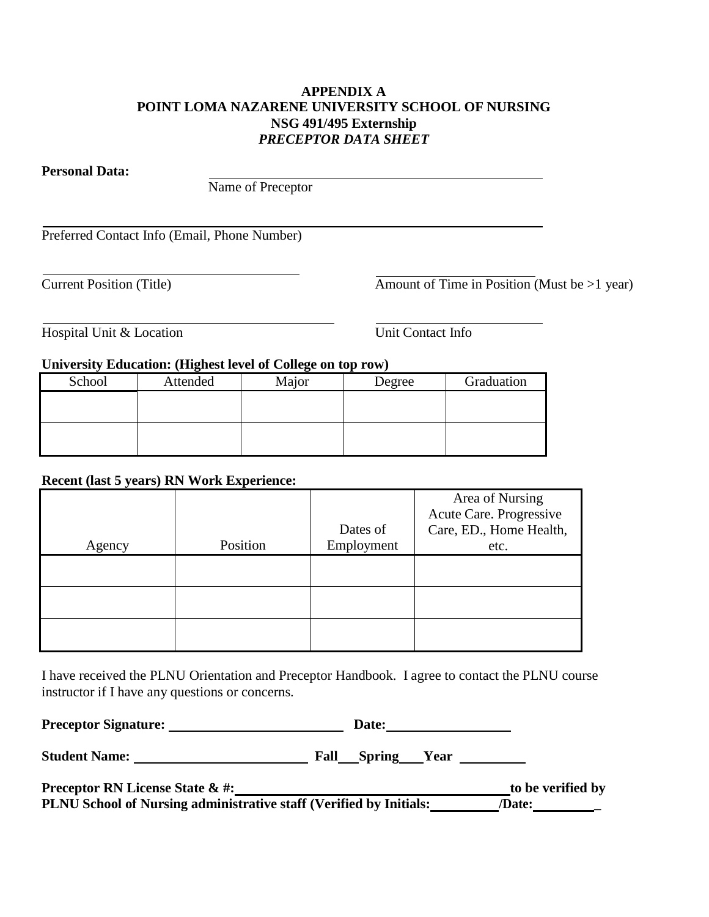#### **APPENDIX A POINT LOMA NAZARENE UNIVERSITY SCHOOL OF NURSING NSG 491/495 Externship** *PRECEPTOR DATA SHEET*

**Personal Data:**

Name of Preceptor

Preferred Contact Info (Email, Phone Number)

Current Position (Title) Amount of Time in Position (Must be >1 year)

Hospital Unit & Location Unit Contact Info

#### **University Education: (Highest level of College on top row)**

| School | Attended | Major | Degree | Graduation |
|--------|----------|-------|--------|------------|
|        |          |       |        |            |
|        |          |       |        |            |
|        |          |       |        |            |
|        |          |       |        |            |

## **Recent (last 5 years) RN Work Experience:**

|        |          |            | Area of Nursing         |
|--------|----------|------------|-------------------------|
|        |          |            | Acute Care. Progressive |
|        |          | Dates of   | Care, ED., Home Health, |
| Agency | Position | Employment | etc.                    |
|        |          |            |                         |
|        |          |            |                         |
|        |          |            |                         |
|        |          |            |                         |
|        |          |            |                         |
|        |          |            |                         |

I have received the PLNU Orientation and Preceptor Handbook. I agree to contact the PLNU course instructor if I have any questions or concerns.

| <b>Preceptor Signature:</b> | Date: |  |
|-----------------------------|-------|--|
|-----------------------------|-------|--|

**Student Name: Fall Spring Year**

| <b>Preceptor RN License State &amp; #:</b>                         | to be verified by |
|--------------------------------------------------------------------|-------------------|
| PLNU School of Nursing administrative staff (Verified by Initials: | /Date:            |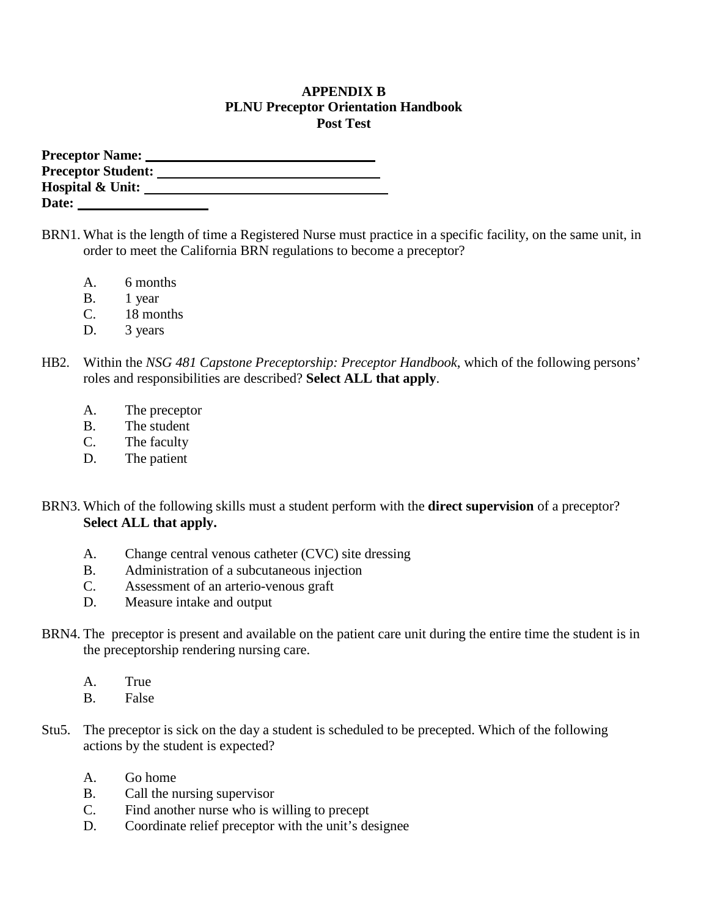#### **APPENDIX B PLNU Preceptor Orientation Handbook Post Test**

| <b>Preceptor Name:</b>      |  |
|-----------------------------|--|
| <b>Preceptor Student:</b>   |  |
| <b>Hospital &amp; Unit:</b> |  |
| Date:                       |  |

- BRN1. What is the length of time a Registered Nurse must practice in a specific facility, on the same unit, in order to meet the California BRN regulations to become a preceptor?
	- A. 6 months
	- B. 1 year
	- C. 18 months
	- D. 3 years
- HB2. Within the *NSG 481 Capstone Preceptorship: Preceptor Handbook*, which of the following persons' roles and responsibilities are described? **Select ALL that apply**.
	- A. The preceptor
	- B. The student
	- C. The faculty
	- D. The patient
- BRN3. Which of the following skills must a student perform with the **direct supervision** of a preceptor? **Select ALL that apply.**
	- A. Change central venous catheter (CVC) site dressing
	- B. Administration of a subcutaneous injection
	- C. Assessment of an arterio-venous graft
	- D. Measure intake and output
- BRN4. The preceptor is present and available on the patient care unit during the entire time the student is in the preceptorship rendering nursing care.
	- A. True
	- B. False
- Stu5. The preceptor is sick on the day a student is scheduled to be precepted. Which of the following actions by the student is expected?
	- A. Go home
	- B. Call the nursing supervisor
	- C. Find another nurse who is willing to precept
	- D. Coordinate relief preceptor with the unit's designee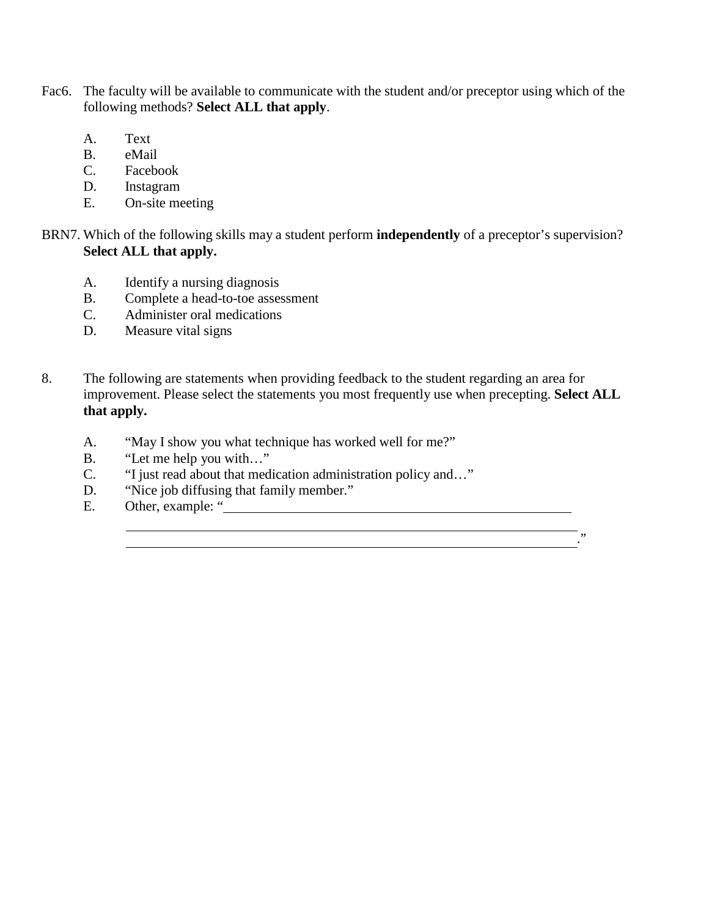- Fac6. The faculty will be available to communicate with the student and/or preceptor using which of the following methods? **Select ALL that apply**.
	- A. Text
	- B. eMail
	- C. Facebook
	- D. Instagram
	- E. On-site meeting
- BRN7. Which of the following skills may a student perform **independently** of a preceptor's supervision? **Select ALL that apply.**
	- A. Identify a nursing diagnosis
	- B. Complete a head-to-toe assessment
	- C. Administer oral medications
	- D. Measure vital signs
- 8. The following are statements when providing feedback to the student regarding an area for improvement. Please select the statements you most frequently use when precepting. **Select ALL that apply.**

<u> 1989 - Johann Stoff, Amerikaansk politiker († 1908)</u>

."

- A. "May I show you what technique has worked well for me?"
- B. "Let me help you with..."
- C. "I just read about that medication administration policy and…"
- D. "Nice job diffusing that family member."
- E. Other, example: "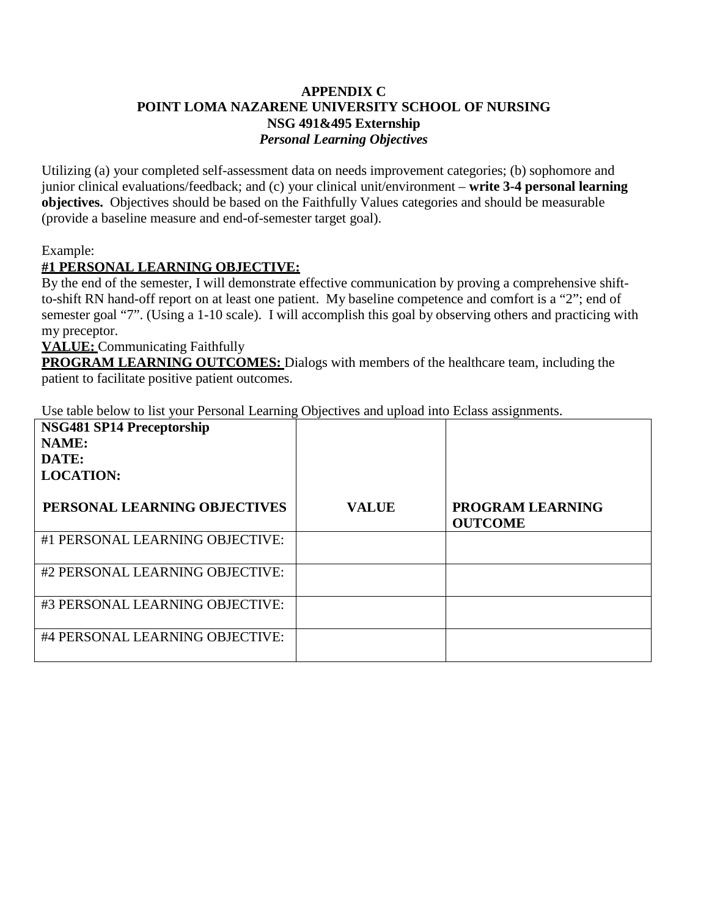#### **APPENDIX C POINT LOMA NAZARENE UNIVERSITY SCHOOL OF NURSING NSG 491&495 Externship** *Personal Learning Objectives*

Utilizing (a) your completed self-assessment data on needs improvement categories; (b) sophomore and junior clinical evaluations/feedback; and (c) your clinical unit/environment – **write 3-4 personal learning objectives.** Objectives should be based on the Faithfully Values categories and should be measurable (provide a baseline measure and end-of-semester target goal).

Example:

# **#1 PERSONAL LEARNING OBJECTIVE:**

By the end of the semester, I will demonstrate effective communication by proving a comprehensive shiftto-shift RN hand-off report on at least one patient. My baseline competence and comfort is a "2"; end of semester goal "7". (Using a 1-10 scale). I will accomplish this goal by observing others and practicing with my preceptor.

**VALUE:** Communicating Faithfully

**PROGRAM LEARNING OUTCOMES:** Dialogs with members of the healthcare team, including the patient to facilitate positive patient outcomes.

Use table below to list your Personal Learning Objectives and upload into Eclass assignments.

| NSG481 SP14 Preceptorship<br><b>NAME:</b><br>DATE:<br><b>LOCATION:</b> |              |                                    |
|------------------------------------------------------------------------|--------------|------------------------------------|
| PERSONAL LEARNING OBJECTIVES                                           | <b>VALUE</b> | PROGRAM LEARNING<br><b>OUTCOME</b> |
| #1 PERSONAL LEARNING OBJECTIVE:                                        |              |                                    |
| #2 PERSONAL LEARNING OBJECTIVE:                                        |              |                                    |
| #3 PERSONAL LEARNING OBJECTIVE:                                        |              |                                    |
| #4 PERSONAL LEARNING OBJECTIVE:                                        |              |                                    |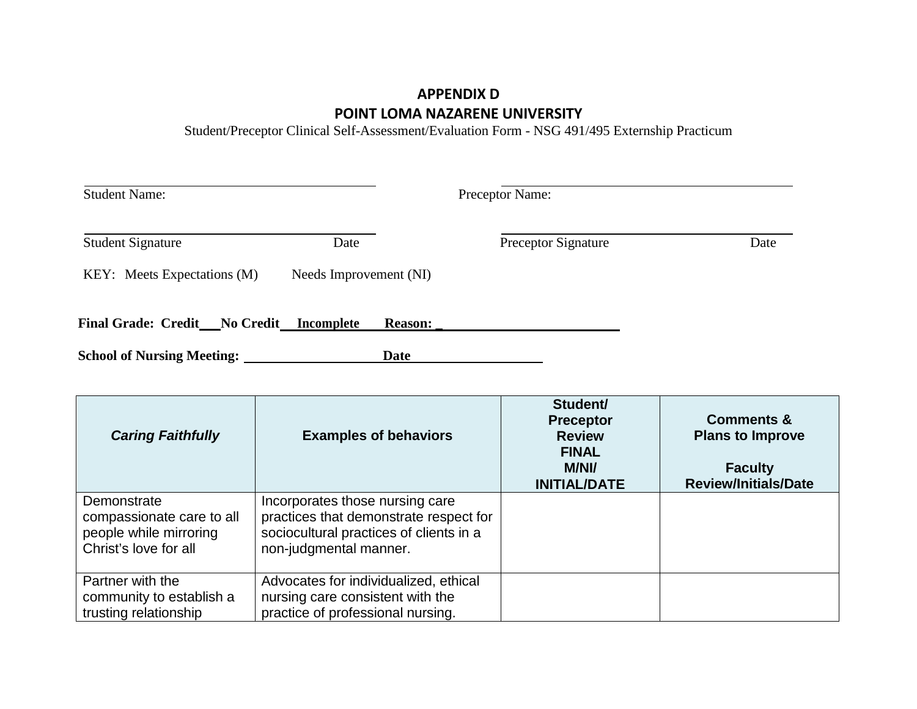# **APPENDIX D POINT LOMA NAZARENE UNIVERSITY**

Student/Preceptor Clinical Self-Assessment/Evaluation Form - NSG 491/495 Externship Practicum

| <b>Student Name:</b>                     |                        | Preceptor Name:     |      |
|------------------------------------------|------------------------|---------------------|------|
| <b>Student Signature</b>                 | Date                   | Preceptor Signature | Date |
| KEY: Meets Expectations (M)              | Needs Improvement (NI) |                     |      |
| Final Grade: Credit No Credit Incomplete | <b>Reason:</b>         |                     |      |
| <b>School of Nursing Meeting:</b>        | Date                   |                     |      |

| <b>Caring Faithfully</b>                                                                    | <b>Examples of behaviors</b>                                                                                                                   | Student/<br><b>Preceptor</b><br><b>Review</b><br><b>FINAL</b><br><b>M/NI/</b><br><b>INITIAL/DATE</b> | <b>Comments &amp;</b><br><b>Plans to Improve</b><br><b>Faculty</b><br><b>Review/Initials/Date</b> |
|---------------------------------------------------------------------------------------------|------------------------------------------------------------------------------------------------------------------------------------------------|------------------------------------------------------------------------------------------------------|---------------------------------------------------------------------------------------------------|
| Demonstrate<br>compassionate care to all<br>people while mirroring<br>Christ's love for all | Incorporates those nursing care<br>practices that demonstrate respect for<br>sociocultural practices of clients in a<br>non-judgmental manner. |                                                                                                      |                                                                                                   |
| Partner with the<br>community to establish a<br>trusting relationship                       | Advocates for individualized, ethical<br>nursing care consistent with the<br>practice of professional nursing.                                 |                                                                                                      |                                                                                                   |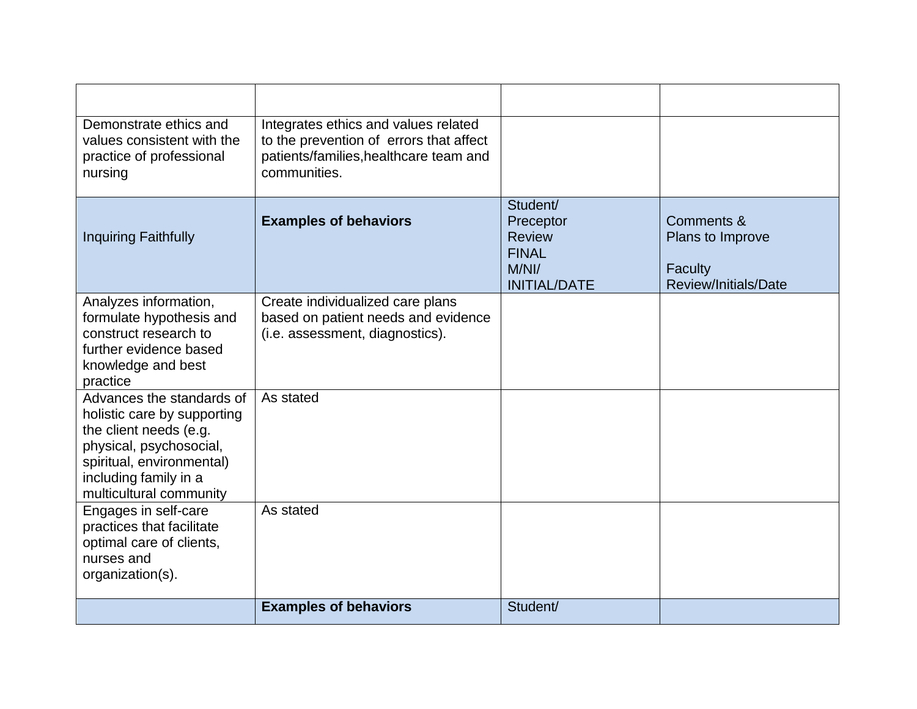| Demonstrate ethics and<br>values consistent with the<br>practice of professional<br>nursing                                                                                                    | Integrates ethics and values related<br>to the prevention of errors that affect<br>patients/families, healthcare team and<br>communities. |                                                                                        |                                                                          |
|------------------------------------------------------------------------------------------------------------------------------------------------------------------------------------------------|-------------------------------------------------------------------------------------------------------------------------------------------|----------------------------------------------------------------------------------------|--------------------------------------------------------------------------|
| <b>Inquiring Faithfully</b>                                                                                                                                                                    | <b>Examples of behaviors</b>                                                                                                              | Student/<br>Preceptor<br><b>Review</b><br><b>FINAL</b><br>M/Nl/<br><b>INITIAL/DATE</b> | Comments &<br>Plans to Improve<br><b>Faculty</b><br>Review/Initials/Date |
| Analyzes information,<br>formulate hypothesis and<br>construct research to<br>further evidence based<br>knowledge and best<br>practice                                                         | Create individualized care plans<br>based on patient needs and evidence<br>(i.e. assessment, diagnostics).                                |                                                                                        |                                                                          |
| Advances the standards of<br>holistic care by supporting<br>the client needs (e.g.<br>physical, psychosocial,<br>spiritual, environmental)<br>including family in a<br>multicultural community | As stated                                                                                                                                 |                                                                                        |                                                                          |
| Engages in self-care<br>practices that facilitate<br>optimal care of clients,<br>nurses and<br>organization(s).                                                                                | As stated                                                                                                                                 |                                                                                        |                                                                          |
|                                                                                                                                                                                                | <b>Examples of behaviors</b>                                                                                                              | Student/                                                                               |                                                                          |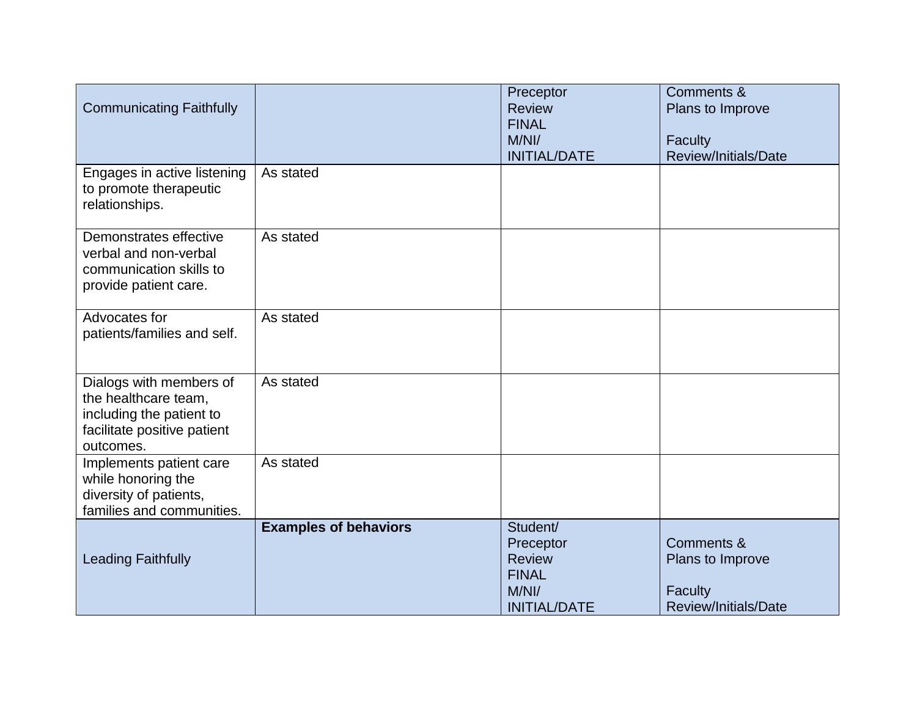| <b>Communicating Faithfully</b>                                                                                         |                              | Preceptor<br><b>Review</b><br><b>FINAL</b><br>M/Nl/<br><b>INITIAL/DATE</b>             | Comments &<br>Plans to Improve<br><b>Faculty</b><br>Review/Initials/Date            |
|-------------------------------------------------------------------------------------------------------------------------|------------------------------|----------------------------------------------------------------------------------------|-------------------------------------------------------------------------------------|
| Engages in active listening<br>to promote therapeutic<br>relationships.                                                 | As stated                    |                                                                                        |                                                                                     |
| Demonstrates effective<br>verbal and non-verbal<br>communication skills to<br>provide patient care.                     | As stated                    |                                                                                        |                                                                                     |
| Advocates for<br>patients/families and self.                                                                            | As stated                    |                                                                                        |                                                                                     |
| Dialogs with members of<br>the healthcare team,<br>including the patient to<br>facilitate positive patient<br>outcomes. | As stated                    |                                                                                        |                                                                                     |
| Implements patient care<br>while honoring the<br>diversity of patients,<br>families and communities.                    | As stated                    |                                                                                        |                                                                                     |
| <b>Leading Faithfully</b>                                                                                               | <b>Examples of behaviors</b> | Student/<br>Preceptor<br><b>Review</b><br><b>FINAL</b><br>M/Nl/<br><b>INITIAL/DATE</b> | <b>Comments &amp;</b><br>Plans to Improve<br><b>Faculty</b><br>Review/Initials/Date |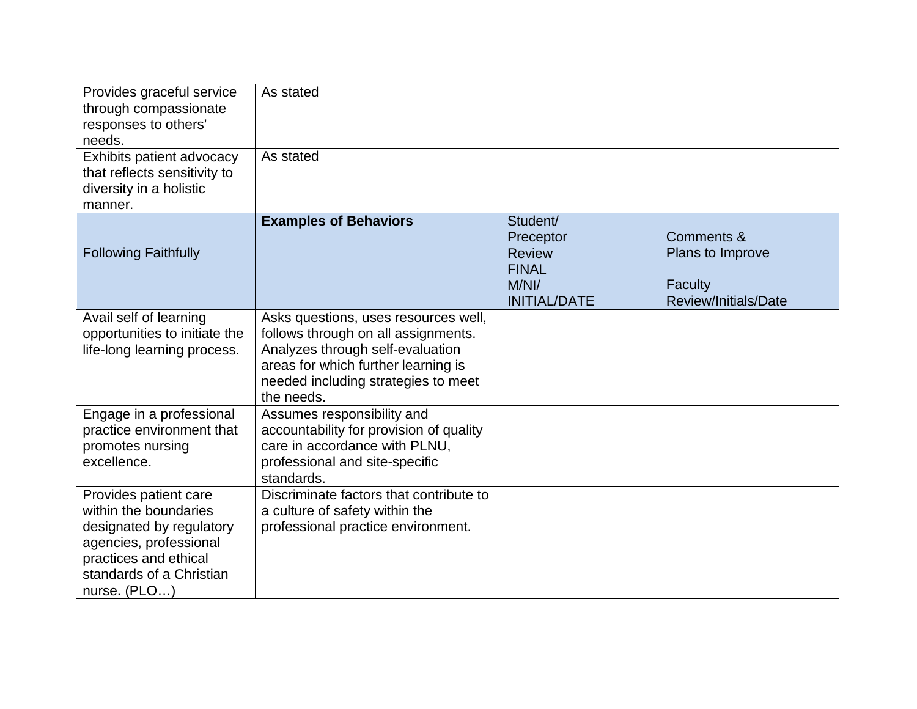| Provides graceful service<br>through compassionate<br>responses to others'<br>needs.<br>Exhibits patient advocacy<br>that reflects sensitivity to<br>diversity in a holistic | As stated<br>As stated                                                                                                                                                                                      |                                                                                        |                                                                          |
|------------------------------------------------------------------------------------------------------------------------------------------------------------------------------|-------------------------------------------------------------------------------------------------------------------------------------------------------------------------------------------------------------|----------------------------------------------------------------------------------------|--------------------------------------------------------------------------|
| manner.<br><b>Following Faithfully</b>                                                                                                                                       | <b>Examples of Behaviors</b>                                                                                                                                                                                | Student/<br>Preceptor<br><b>Review</b><br><b>FINAL</b><br>M/Nl/<br><b>INITIAL/DATE</b> | Comments &<br>Plans to Improve<br><b>Faculty</b><br>Review/Initials/Date |
| Avail self of learning<br>opportunities to initiate the<br>life-long learning process.                                                                                       | Asks questions, uses resources well,<br>follows through on all assignments.<br>Analyzes through self-evaluation<br>areas for which further learning is<br>needed including strategies to meet<br>the needs. |                                                                                        |                                                                          |
| Engage in a professional<br>practice environment that<br>promotes nursing<br>excellence.                                                                                     | Assumes responsibility and<br>accountability for provision of quality<br>care in accordance with PLNU,<br>professional and site-specific<br>standards.                                                      |                                                                                        |                                                                          |
| Provides patient care<br>within the boundaries<br>designated by regulatory<br>agencies, professional<br>practices and ethical<br>standards of a Christian<br>nurse. (PLO)    | Discriminate factors that contribute to<br>a culture of safety within the<br>professional practice environment.                                                                                             |                                                                                        |                                                                          |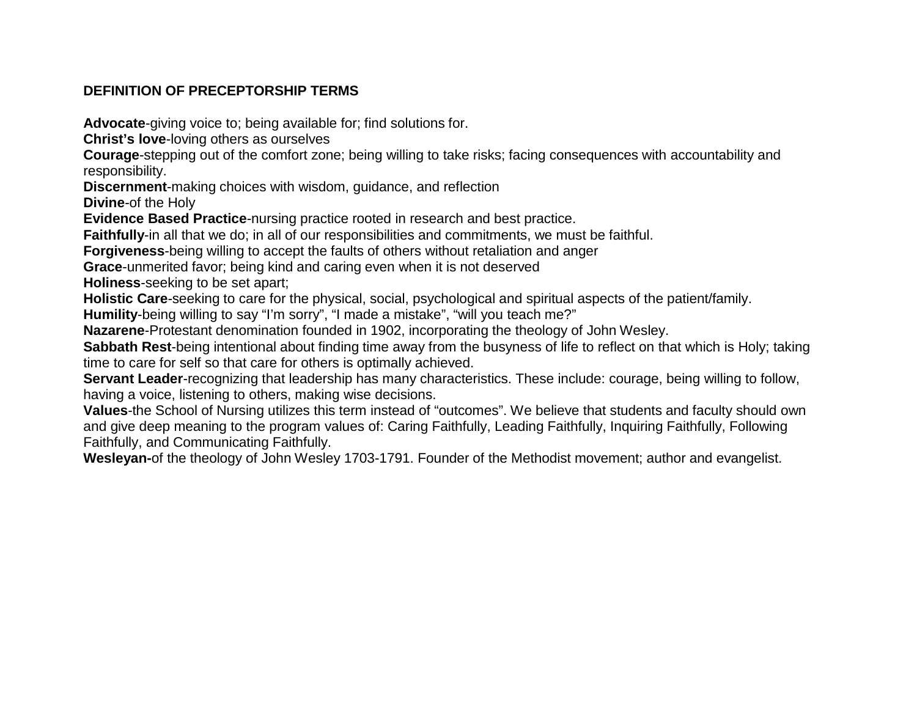# **DEFINITION OF PRECEPTORSHIP TERMS**

**Advocate**-giving voice to; being available for; find solutions for.

**Christ's love**-loving others as ourselves

**Courage**-stepping out of the comfort zone; being willing to take risks; facing consequences with accountability and responsibility.

**Discernment**-making choices with wisdom, guidance, and reflection

**Divine**-of the Holy

**Evidence Based Practice**-nursing practice rooted in research and best practice.

**Faithfully**-in all that we do; in all of our responsibilities and commitments, we must be faithful.

**Forgiveness**-being willing to accept the faults of others without retaliation and anger

**Grace**-unmerited favor; being kind and caring even when it is not deserved

**Holiness**-seeking to be set apart;

**Holistic Care**-seeking to care for the physical, social, psychological and spiritual aspects of the patient/family.

**Humility**-being willing to say "I'm sorry", "I made a mistake", "will you teach me?"

**Nazarene**-Protestant denomination founded in 1902, incorporating the theology of John Wesley.

**Sabbath Rest**-being intentional about finding time away from the busyness of life to reflect on that which is Holy; taking time to care for self so that care for others is optimally achieved.

**Servant Leader**-recognizing that leadership has many characteristics. These include: courage, being willing to follow, having a voice, listening to others, making wise decisions.

**Values**-the School of Nursing utilizes this term instead of "outcomes". We believe that students and faculty should own and give deep meaning to the program values of: Caring Faithfully, Leading Faithfully, Inquiring Faithfully, Following Faithfully, and Communicating Faithfully.

**Wesleyan-**of the theology of John Wesley 1703-1791. Founder of the Methodist movement; author and evangelist.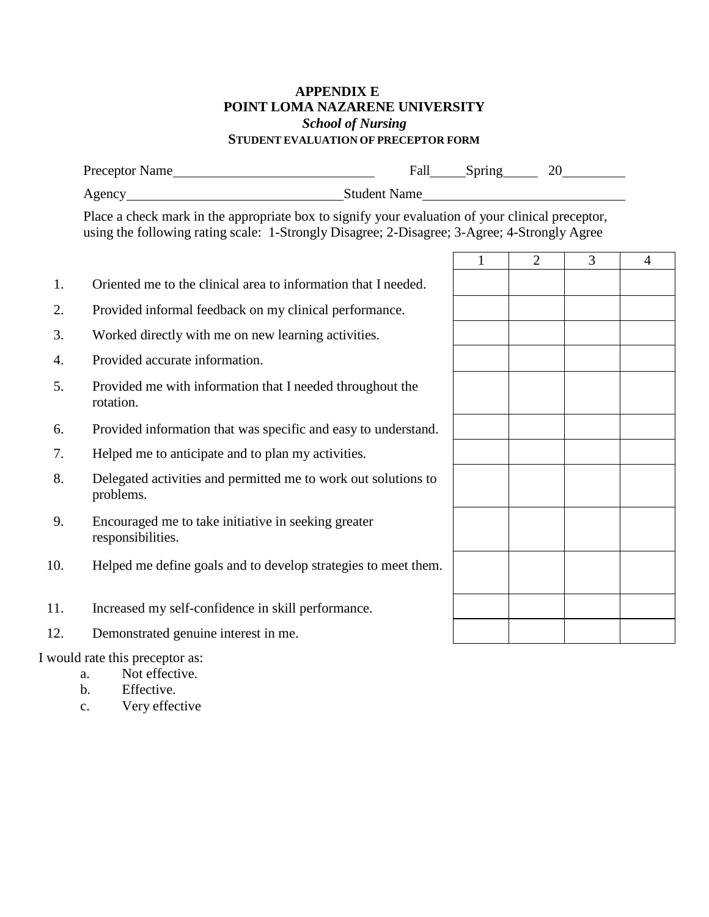## **APPENDIX E POINT LOMA NAZARENE UNIVERSITY** *School of Nursing* **STUDENT EVALUATION OF PRECEPTOR FORM**

|     | Preceptor Name                                                                                                                                                                                   |                                                     | 20             |                |                |
|-----|--------------------------------------------------------------------------------------------------------------------------------------------------------------------------------------------------|-----------------------------------------------------|----------------|----------------|----------------|
|     | Agency Student Name                                                                                                                                                                              | <u> 1980 - Jan Barat, prima al II-lea (b. 1980)</u> |                |                |                |
|     | Place a check mark in the appropriate box to signify your evaluation of your clinical preceptor,<br>using the following rating scale: 1-Strongly Disagree; 2-Disagree; 3-Agree; 4-Strongly Agree |                                                     |                |                |                |
|     |                                                                                                                                                                                                  | $\mathbf{1}$                                        | $\overline{2}$ | $\overline{3}$ | $\overline{4}$ |
| 1.  | Oriented me to the clinical area to information that I needed.                                                                                                                                   |                                                     |                |                |                |
| 2.  | Provided informal feedback on my clinical performance.                                                                                                                                           |                                                     |                |                |                |
| 3.  | Worked directly with me on new learning activities.                                                                                                                                              |                                                     |                |                |                |
| 4.  | Provided accurate information.                                                                                                                                                                   |                                                     |                |                |                |
| 5.  | Provided me with information that I needed throughout the<br>rotation.                                                                                                                           |                                                     |                |                |                |
| 6.  | Provided information that was specific and easy to understand.                                                                                                                                   |                                                     |                |                |                |
| 7.  | Helped me to anticipate and to plan my activities.                                                                                                                                               |                                                     |                |                |                |
| 8.  | Delegated activities and permitted me to work out solutions to<br>problems.                                                                                                                      |                                                     |                |                |                |
| 9.  | Encouraged me to take initiative in seeking greater<br>responsibilities.                                                                                                                         |                                                     |                |                |                |
| 10. | Helped me define goals and to develop strategies to meet them.                                                                                                                                   |                                                     |                |                |                |
| 11. | Increased my self-confidence in skill performance.                                                                                                                                               |                                                     |                |                |                |
| 12. | Demonstrated genuine interest in me.                                                                                                                                                             |                                                     |                |                |                |
|     | I would rate this preceptor as:<br>a Not effective                                                                                                                                               |                                                     |                |                |                |

- a. Not effective.<br>b. Effective. Effective.
- c. Very effective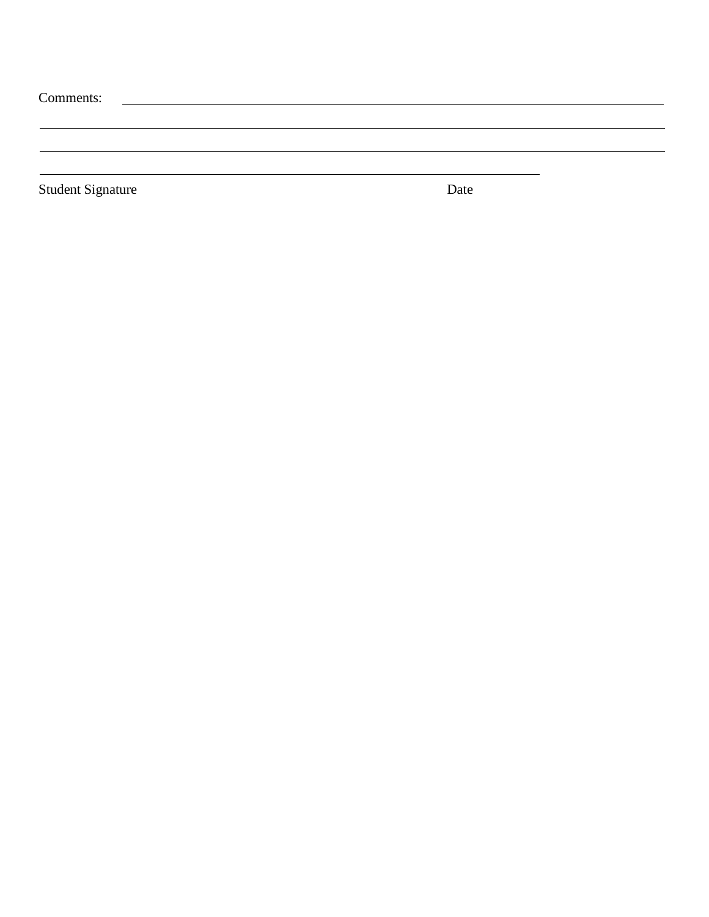| Comments:                |      |  |
|--------------------------|------|--|
|                          |      |  |
|                          |      |  |
| <b>Student Signature</b> | Date |  |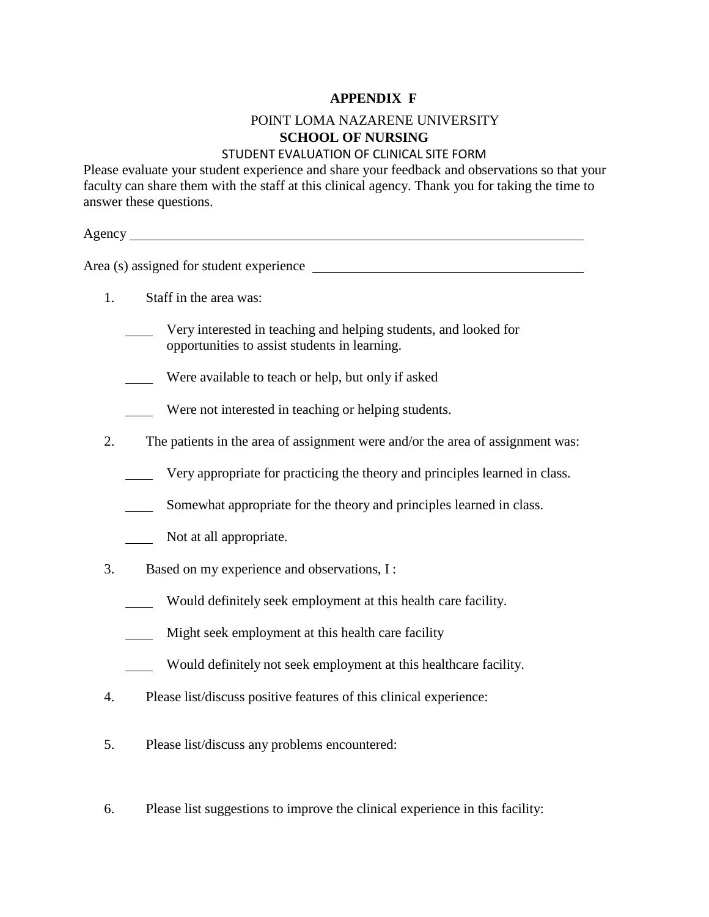#### **APPENDIX F**

# POINT LOMA NAZARENE UNIVERSITY **SCHOOL OF NURSING**

#### STUDENT EVALUATION OF CLINICAL SITE FORM

Please evaluate your student experience and share your feedback and observations so that your faculty can share them with the staff at this clinical agency. Thank you for taking the time to answer these questions.

Agency and the set of the set of the set of the set of the set of the set of the set of the set of the set of the set of the set of the set of the set of the set of the set of the set of the set of the set of the set of th

Area (s) assigned for student experience

- 1. Staff in the area was:
	- Very interested in teaching and helping students, and looked for opportunities to assist students in learning.
	- Were available to teach or help, but only if asked
	- Were not interested in teaching or helping students.
- 2. The patients in the area of assignment were and/or the area of assignment was:
	- Very appropriate for practicing the theory and principles learned in class.
	- Somewhat appropriate for the theory and principles learned in class.
	- Not at all appropriate.
- 3. Based on my experience and observations, I :
	- Would definitely seek employment at this health care facility.
	- Might seek employment at this health care facility
	- Would definitely not seek employment at this healthcare facility.
- 4. Please list/discuss positive features of this clinical experience:
- 5. Please list/discuss any problems encountered:
- 6. Please list suggestions to improve the clinical experience in this facility: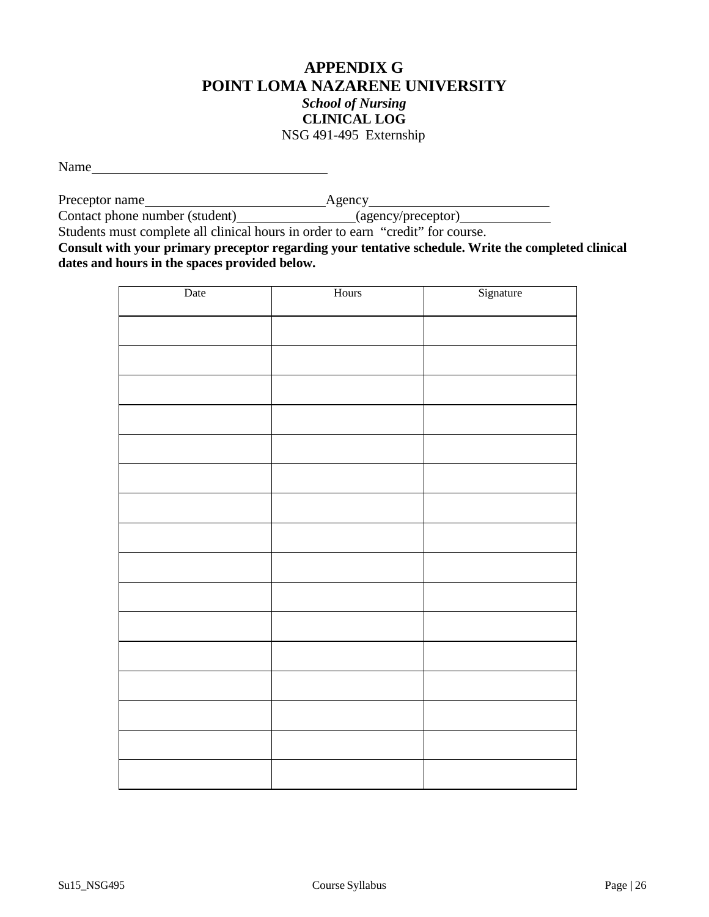# **APPENDIX G POINT LOMA NAZARENE UNIVERSITY** *School of Nursing* **CLINICAL LOG** NSG 491-495 Externship

Name and the state of the state of the state of the state of the state of the state of the state of the state of the state of the state of the state of the state of the state of the state of the state of the state of the s

Preceptor name
<u>
Agency</u>

Contact phone number (student)\_\_\_\_\_\_\_\_\_\_\_\_\_\_\_\_\_\_(agency/preceptor)

Students must complete all clinical hours in order to earn "credit" for course.

**Consult with your primary preceptor regarding your tentative schedule. Write the completed clinical dates and hours in the spaces provided below.**

| Date | Hours | Signature |
|------|-------|-----------|
|      |       |           |
|      |       |           |
|      |       |           |
|      |       |           |
|      |       |           |
|      |       |           |
|      |       |           |
|      |       |           |
|      |       |           |
|      |       |           |
|      |       |           |
|      |       |           |
|      |       |           |
|      |       |           |
|      |       |           |
|      |       |           |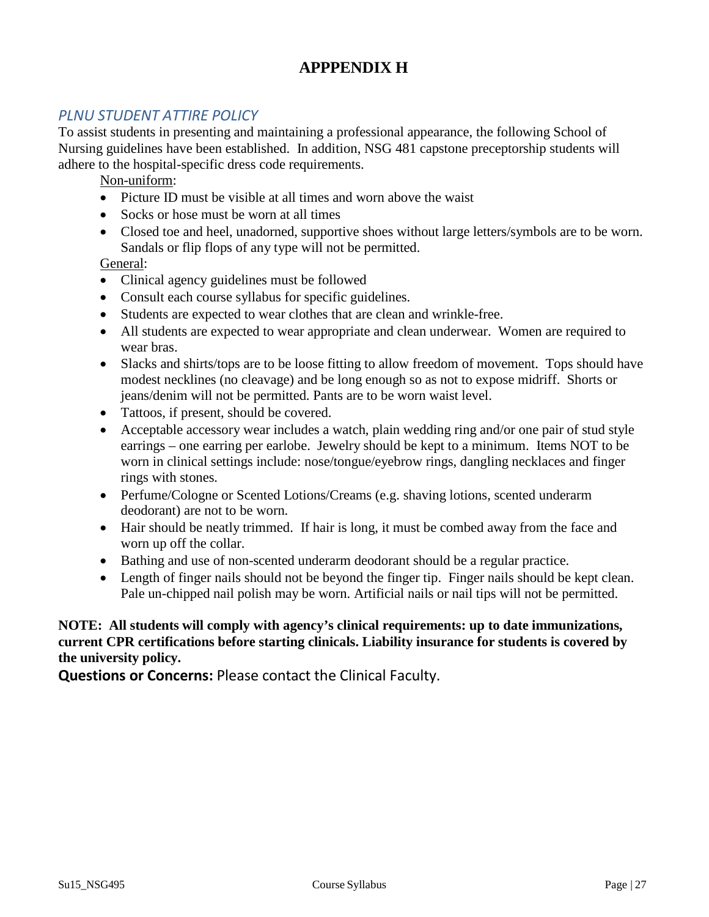# **APPPENDIX H**

# *PLNU STUDENT ATTIRE POLICY*

To assist students in presenting and maintaining a professional appearance, the following School of Nursing guidelines have been established. In addition, NSG 481 capstone preceptorship students will adhere to the hospital-specific dress code requirements.

Non-uniform:

- Picture ID must be visible at all times and worn above the waist
- Socks or hose must be worn at all times
- Closed toe and heel, unadorned, supportive shoes without large letters/symbols are to be worn. Sandals or flip flops of any type will not be permitted.

General:

- Clinical agency guidelines must be followed
- Consult each course syllabus for specific guidelines.
- Students are expected to wear clothes that are clean and wrinkle-free.
- All students are expected to wear appropriate and clean underwear. Women are required to wear bras.
- Slacks and shirts/tops are to be loose fitting to allow freedom of movement. Tops should have modest necklines (no cleavage) and be long enough so as not to expose midriff. Shorts or jeans/denim will not be permitted. Pants are to be worn waist level.
- Tattoos, if present, should be covered.
- Acceptable accessory wear includes a watch, plain wedding ring and/or one pair of stud style earrings – one earring per earlobe. Jewelry should be kept to a minimum. Items NOT to be worn in clinical settings include: nose/tongue/eyebrow rings, dangling necklaces and finger rings with stones.
- Perfume/Cologne or Scented Lotions/Creams (e.g. shaving lotions, scented underarm deodorant) are not to be worn.
- Hair should be neatly trimmed. If hair is long, it must be combed away from the face and worn up off the collar.
- Bathing and use of non-scented underarm deodorant should be a regular practice.
- Length of finger nails should not be beyond the finger tip. Finger nails should be kept clean. Pale un-chipped nail polish may be worn. Artificial nails or nail tips will not be permitted.

#### **NOTE: All students will comply with agency's clinical requirements: up to date immunizations, current CPR certifications before starting clinicals. Liability insurance for students is covered by the university policy.**

**Questions or Concerns:** Please contact the Clinical Faculty.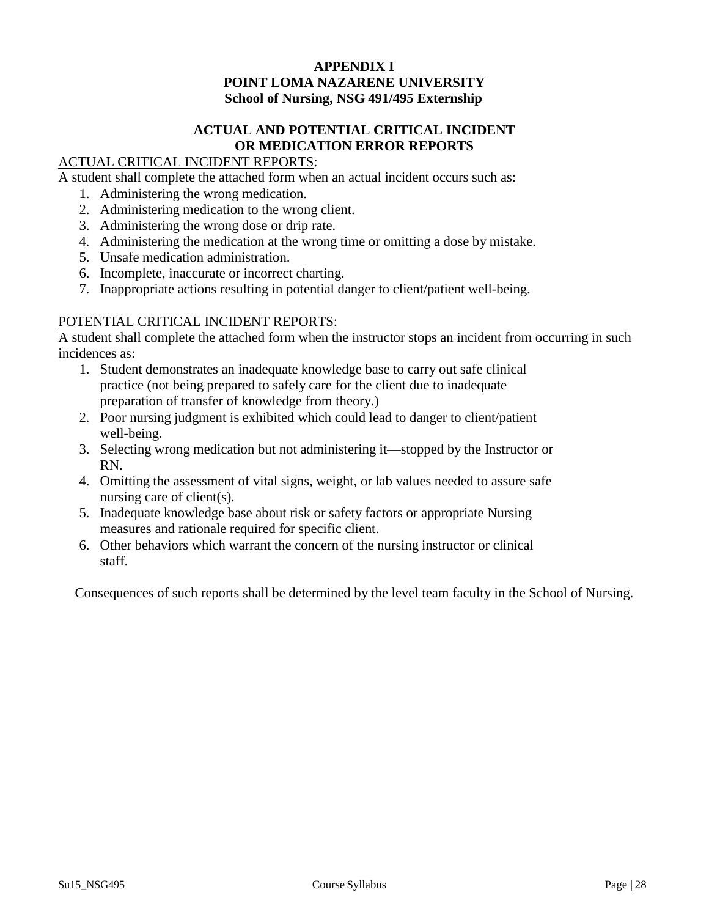#### **APPENDIX I POINT LOMA NAZARENE UNIVERSITY School of Nursing, NSG 491/495 Externship**

# **ACTUAL AND POTENTIAL CRITICAL INCIDENT OR MEDICATION ERROR REPORTS**

# ACTUAL CRITICAL INCIDENT REPORTS:

A student shall complete the attached form when an actual incident occurs such as:

- 1. Administering the wrong medication.
- 2. Administering medication to the wrong client.
- 3. Administering the wrong dose or drip rate.
- 4. Administering the medication at the wrong time or omitting a dose by mistake.
- 5. Unsafe medication administration.
- 6. Incomplete, inaccurate or incorrect charting.
- 7. Inappropriate actions resulting in potential danger to client/patient well-being.

#### POTENTIAL CRITICAL INCIDENT REPORTS:

A student shall complete the attached form when the instructor stops an incident from occurring in such incidences as:

- 1. Student demonstrates an inadequate knowledge base to carry out safe clinical practice (not being prepared to safely care for the client due to inadequate preparation of transfer of knowledge from theory.)
- 2. Poor nursing judgment is exhibited which could lead to danger to client/patient well-being.
- 3. Selecting wrong medication but not administering it—stopped by the Instructor or RN.
- 4. Omitting the assessment of vital signs, weight, or lab values needed to assure safe nursing care of client(s).
- 5. Inadequate knowledge base about risk or safety factors or appropriate Nursing measures and rationale required for specific client.
- 6. Other behaviors which warrant the concern of the nursing instructor or clinical staff.

Consequences of such reports shall be determined by the level team faculty in the School of Nursing.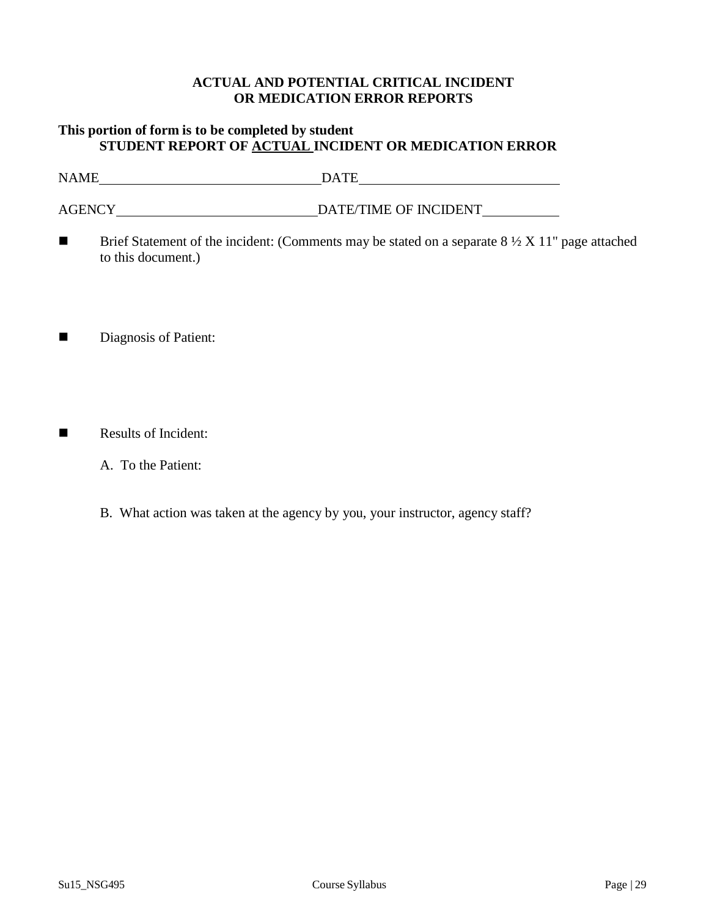#### **ACTUAL AND POTENTIAL CRITICAL INCIDENT OR MEDICATION ERROR REPORTS**

## **This portion of form is to be completed by student STUDENT REPORT OF ACTUAL INCIDENT OR MEDICATION ERROR**

NAME DATE

AGENCY DATE/TIME OF INCIDENT

- **Brief Statement of the incident:** (Comments may be stated on a separate  $8\frac{1}{2}$  X 11" page attached to this document.)
- Diagnosis of Patient:
- Results of Incident:
	- A. To the Patient:
	- B. What action was taken at the agency by you, your instructor, agency staff?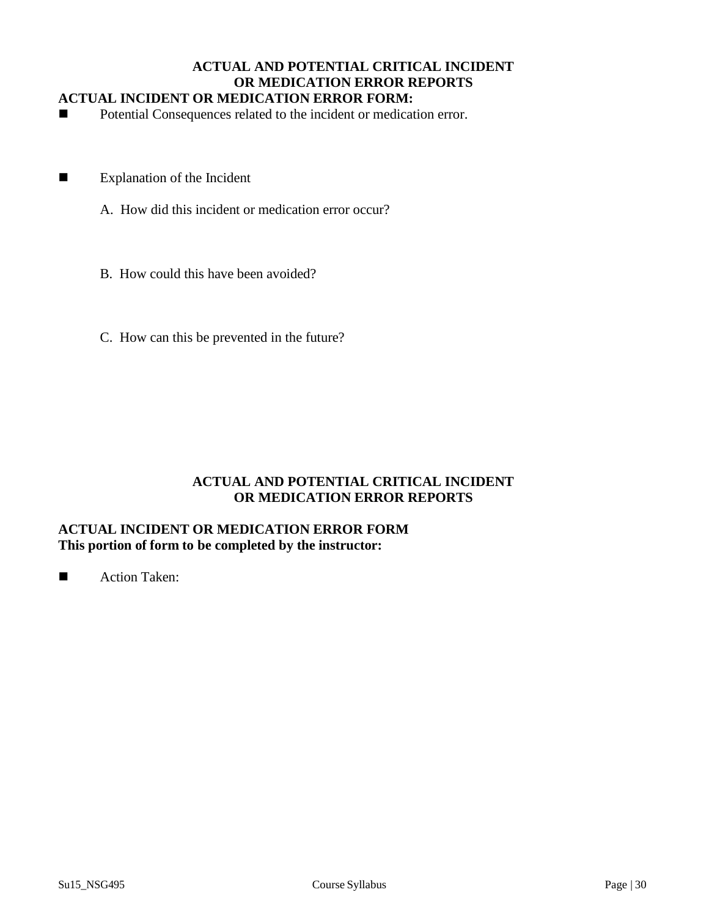#### **ACTUAL AND POTENTIAL CRITICAL INCIDENT OR MEDICATION ERROR REPORTS ACTUAL INCIDENT OR MEDICATION ERROR FORM:**

■ Potential Consequences related to the incident or medication error.

- **Explanation of the Incident** 
	- A. How did this incident or medication error occur?
	- B. How could this have been avoided?
	- C. How can this be prevented in the future?

## **ACTUAL AND POTENTIAL CRITICAL INCIDENT OR MEDICATION ERROR REPORTS**

## **ACTUAL INCIDENT OR MEDICATION ERROR FORM This portion of form to be completed by the instructor:**

■ Action Taken: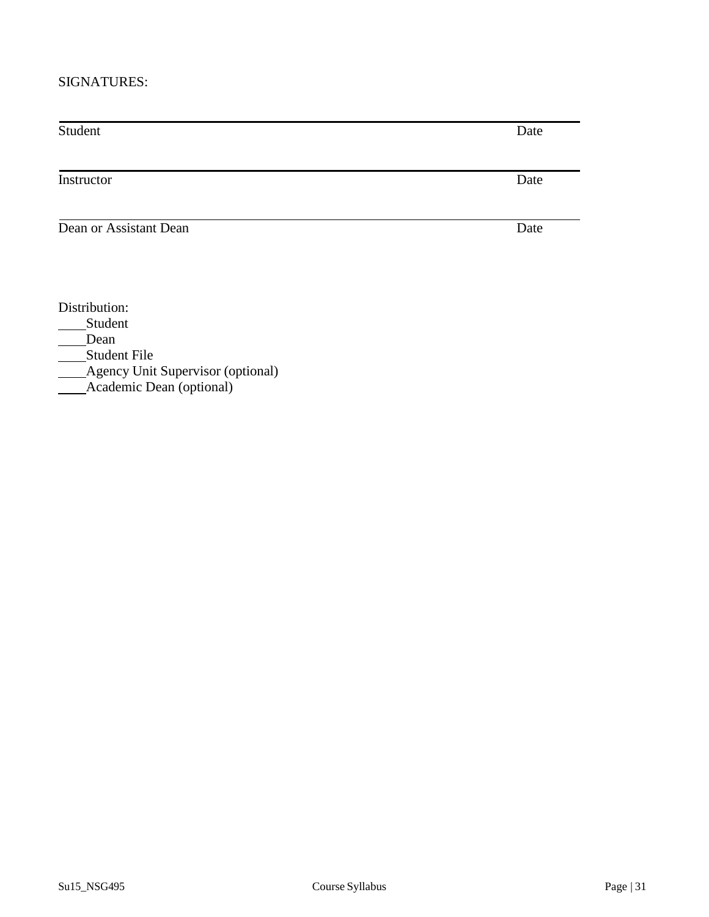#### SIGNATURES:

Student Date

Instructor Date

**Dean or Assistant Dean** Date

Distribution:

\_\_\_\_Student

Dean

Student File

Agency Unit Supervisor (optional)

Academic Dean (optional)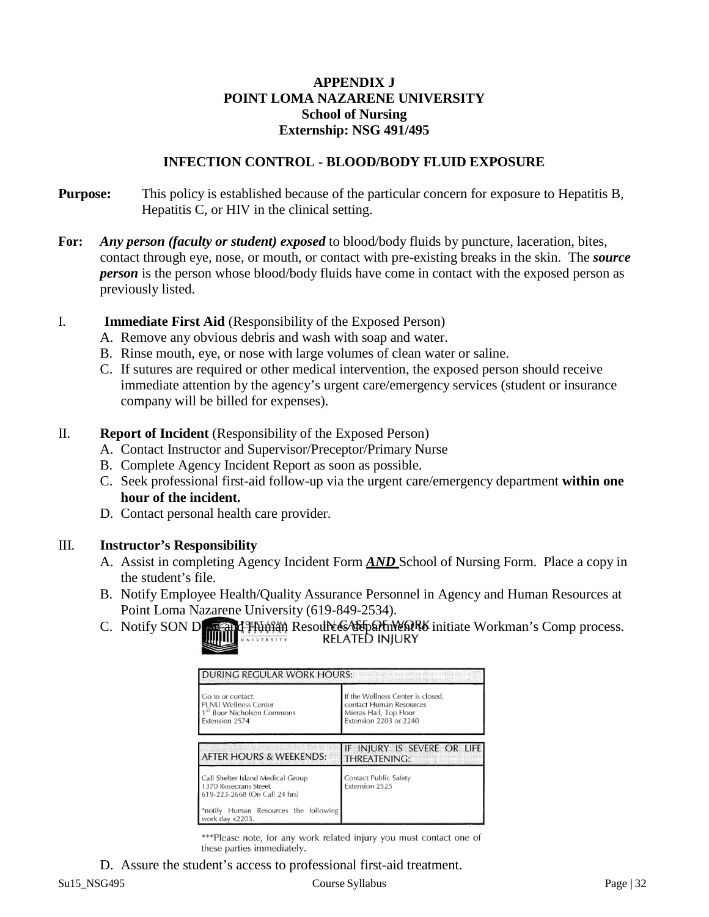## **APPENDIX J POINT LOMA NAZARENE UNIVERSITY School of Nursing Externship: NSG 491/495**

#### **INFECTION CONTROL - BLOOD/BODY FLUID EXPOSURE**

- **Purpose:** This policy is established because of the particular concern for exposure to Hepatitis B, Hepatitis C, or HIV in the clinical setting.
- **For:** *Any person (faculty or student) exposed* to blood/body fluids by puncture, laceration, bites, contact through eye, nose, or mouth, or contact with pre-existing breaks in the skin. The *source person* is the person whose blood/body fluids have come in contact with the exposed person as previously listed.
- I. **Immediate First Aid** (Responsibility of the Exposed Person)
	- A. Remove any obvious debris and wash with soap and water.
	- B. Rinse mouth, eye, or nose with large volumes of clean water or saline.
	- C. If sutures are required or other medical intervention, the exposed person should receive immediate attention by the agency's urgent care/emergency services (student or insurance company will be billed for expenses).

#### II. **Report of Incident** (Responsibility of the Exposed Person)

- A. Contact Instructor and Supervisor/Preceptor/Primary Nurse
- B. Complete Agency Incident Report as soon as possible.
- C. Seek professional first-aid follow-up via the urgent care/emergency department **within one hour of the incident.**
- D. Contact personal health care provider.

## III. **Instructor's Responsibility**

- A. Assist in completing Agency Incident Form *AND* School of Nursing Form. Place a copy in the student's file.
- B. Notify Employee Health/Quality Assurance Personnel in Agency and Human Resources at Point Loma Nazarene University (619-849-2534).
- C. Notify SON Decay of Human Resources Relationships initiate Workman's Comp process.

| <b>DURING REGULAR WORK HOURS:</b>                                                                             |                                                                                                                  |
|---------------------------------------------------------------------------------------------------------------|------------------------------------------------------------------------------------------------------------------|
| Go to or contact:<br><b>PLNU Wellness Center</b><br>1 <sup>5T</sup> floor Nicholson Commons<br>Extension 2574 | If the Wellness Center is closed,<br>contact Human Resources<br>Mieras Hall, Top Floor<br>Extension 2203 or 2240 |
| AFTER HOURS & WEEKENDS:                                                                                       | IF INJURY IS SEVERE OR LIFE<br><b>THREATENING:</b>                                                               |
| Call Shelter Island Medical Group<br>1370 Rosecrans Street<br>619-223-2668 (On Call 24 hrs)                   | Contact Public Safety<br>Extension 2525                                                                          |
| *notify Human Resources the following<br>work day x2203.                                                      |                                                                                                                  |

\*\*\*Please note, for any work related injury you must contact one of these parties immediately.

D. Assure the student's access to professional first-aid treatment.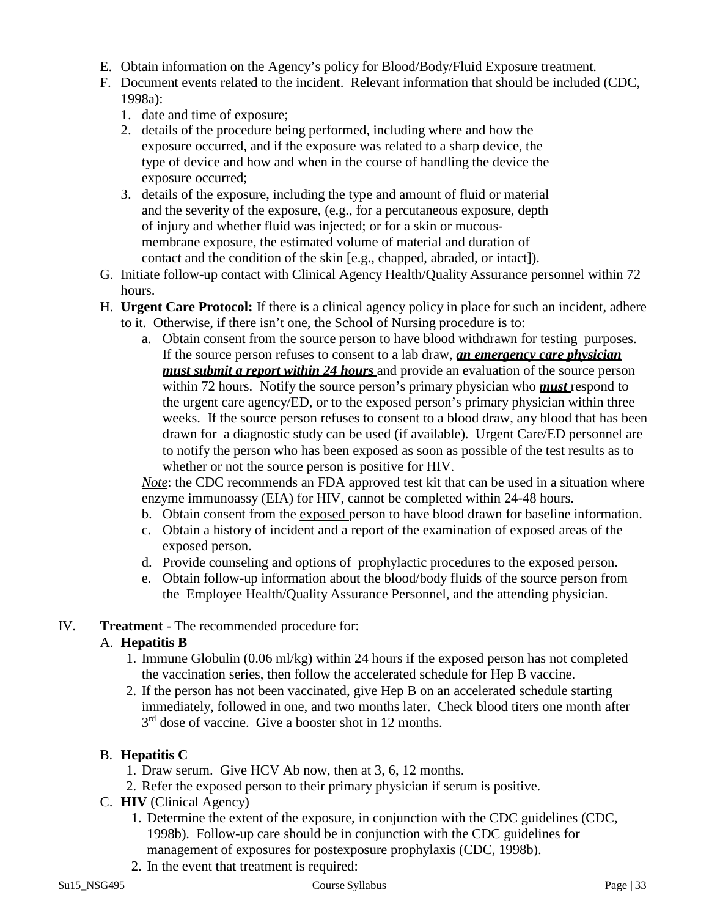- E. Obtain information on the Agency's policy for Blood/Body/Fluid Exposure treatment.
- F. Document events related to the incident. Relevant information that should be included (CDC, 1998a):
	- 1. date and time of exposure;
	- 2. details of the procedure being performed, including where and how the exposure occurred, and if the exposure was related to a sharp device, the type of device and how and when in the course of handling the device the exposure occurred;
	- 3. details of the exposure, including the type and amount of fluid or material and the severity of the exposure, (e.g., for a percutaneous exposure, depth of injury and whether fluid was injected; or for a skin or mucousmembrane exposure, the estimated volume of material and duration of contact and the condition of the skin [e.g., chapped, abraded, or intact]).
- G. Initiate follow-up contact with Clinical Agency Health/Quality Assurance personnel within 72 hours.
- H. **Urgent Care Protocol:** If there is a clinical agency policy in place for such an incident, adhere to it. Otherwise, if there isn't one, the School of Nursing procedure is to:
	- a. Obtain consent from the source person to have blood withdrawn for testing purposes. If the source person refuses to consent to a lab draw, *an emergency care physician must submit a report within 24 hours* and provide an evaluation of the source person within 72 hours. Notify the source person's primary physician who *must* respond to the urgent care agency/ED, or to the exposed person's primary physician within three weeks. If the source person refuses to consent to a blood draw, any blood that has been drawn for a diagnostic study can be used (if available). Urgent Care/ED personnel are to notify the person who has been exposed as soon as possible of the test results as to whether or not the source person is positive for HIV.

*Note*: the CDC recommends an FDA approved test kit that can be used in a situation where enzyme immunoassy (EIA) for HIV, cannot be completed within 24-48 hours.

- b. Obtain consent from the exposed person to have blood drawn for baseline information.
- c. Obtain a history of incident and a report of the examination of exposed areas of the exposed person.
- d. Provide counseling and options of prophylactic procedures to the exposed person.
- e. Obtain follow-up information about the blood/body fluids of the source person from the Employee Health/Quality Assurance Personnel, and the attending physician.

# IV. **Treatment** - The recommended procedure for:

# A. **Hepatitis B**

- 1. Immune Globulin (0.06 ml/kg) within 24 hours if the exposed person has not completed the vaccination series, then follow the accelerated schedule for Hep B vaccine.
- 2. If the person has not been vaccinated, give Hep B on an accelerated schedule starting immediately, followed in one, and two months later. Check blood titers one month after  $3<sup>rd</sup>$  dose of vaccine. Give a booster shot in 12 months.

# B. **Hepatitis C**

- 1. Draw serum. Give HCV Ab now, then at 3, 6, 12 months.
- 2. Refer the exposed person to their primary physician if serum is positive.
- C. **HIV** (Clinical Agency)
	- 1. Determine the extent of the exposure, in conjunction with the CDC guidelines (CDC, 1998b). Follow-up care should be in conjunction with the CDC guidelines for management of exposures for postexposure prophylaxis (CDC, 1998b).
	- 2. In the event that treatment is required: